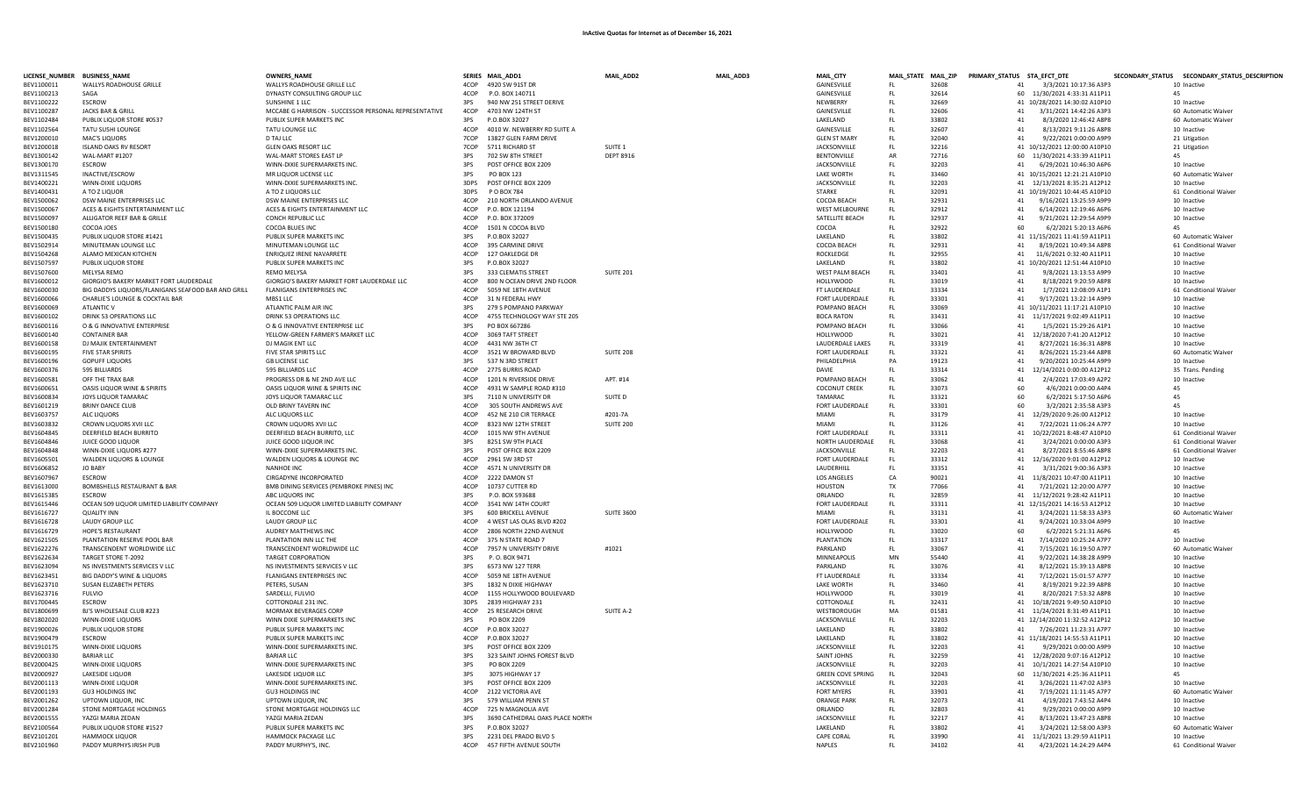|                          | LICENSE_NUMBER BUSINESS_NAME                              | OWNERS_NAME                                                |              | SERIES MAIL_ADD1                              | MAIL_ADD2          | MAIL_ADD3 | MAIL_CITY                   |            |                | MAIL_STATE MAIL_ZIP PRIMARY_STATUS STA_EFCT_DTE |                                                    | SECONDARY_STATUS SECONDARY_STATUS_DESCRIPTION |
|--------------------------|-----------------------------------------------------------|------------------------------------------------------------|--------------|-----------------------------------------------|--------------------|-----------|-----------------------------|------------|----------------|-------------------------------------------------|----------------------------------------------------|-----------------------------------------------|
| BEV1100011               | WALLYS ROADHOUSE GRILLE                                   | WALLYS ROADHOUSE GRILLE LLC                                | 4COP         | 4920 SW 91ST DR                               |                    |           | GAINESVILLE                 | FL.        | 32608          |                                                 | 41 3/3/2021 10:17:36 A3P3                          | 10 Inactive                                   |
| BFV1100213               | SAGA                                                      | DYNASTY CONSULTING GROUP LLC                               | 4COP         | P.O. BOX 140711                               |                    |           | GAINESVILLE                 | FL.        | 32614          |                                                 | 60 11/30/2021 4:33:31 A11P11                       | 45                                            |
| BEV1100222               | ESCROW                                                    | SUNSHINE 1 LLC                                             | 3PS          | 940 NW 251 STREET DERIVE                      |                    |           | NEWBERRY                    | FL.        | 32669          |                                                 | 41 10/28/2021 14:30:02 A10P10                      | 10 Inactive                                   |
| BEV1100287               | JACKS BAR & GRILL                                         | MCCABE G HARRISON - SUCCESSOR PERSONAL REPRESENTATIVE      | 4COP         | 4703 NW 124TH ST                              |                    |           | GAINESVILLE                 | FL.        | 32606          |                                                 | 41<br>3/31/2021 14:42:26 A3P3                      | 60 Automatic Waiver                           |
| BEV1102484               | PUBLIX LIQUOR STORE #0537                                 | PUBLIX SUPER MARKETS INC                                   | 3PS          | P.O.BOX 32027                                 |                    |           | LAKELAND                    | FL.        | 33802          | 41                                              | 8/3/2020 12:46:42 A8P8                             | 60 Automatic Waiver                           |
| BEV1102564               | <b>TATU SUSHLIOUNGE</b>                                   | TATU LOUNGE LLC                                            | 4COP         | 4010 W. NEWBERRY RD SUITE A                   |                    |           | <b>GAINESVILLE</b>          | FL.        | 32607          | 41                                              | 8/13/2021 9:11:26 A8P8                             | 10 Inactive                                   |
| BEV1200010               | <b>MAC'S LIQUORS</b>                                      | D TAJ LLC                                                  | 7COP         | 13827 GLEN FARM DRIVE                         |                    |           | <b>GLEN ST MARY</b>         | FL.        | 32040          | 41                                              | 9/22/2021 0:00:00 A9P9                             | 21 Litigation                                 |
| BEV1200018               | <b>ISLAND OAKS RV RESORT</b>                              | <b>GLEN OAKS RESORT LLC</b>                                | 7COP         | 5711 RICHARD ST                               | SUITE <sub>1</sub> |           | JACKSONVILLE                | FL.        | 32216          |                                                 | 41 10/12/2021 12:00:00 A10P10                      | 21 Litigation                                 |
| BEV1300142               | <b>WAL-MART #1207</b>                                     | WAL-MART STORES EAST LP                                    | 3PS          | 702 SW 8TH STREET                             | <b>DEPT 8916</b>   |           | <b>BENTONVILLE</b>          | AR         | 72716          |                                                 | 60 11/30/2021 4:33:39 A11P11                       | 45                                            |
| BEV1300170               | <b>ESCROW</b>                                             | WINN-DIXIE SUPERMARKETS INC.                               | 3PS          | POST OFFICE BOX 2209                          |                    |           | JACKSONVILLE                | FL.        | 32203          |                                                 | 41<br>6/29/2021 10:46:30 A6P6                      | 10 Inactive                                   |
| BEV1311545               | INACTIVE/ESCROW                                           | MR LIQUOR LICENSE LLC                                      | 3PS          | PO BOX 123                                    |                    |           | <b>LAKE WORTH</b>           | FL.        | 33460          |                                                 | 41 10/15/2021 12:21:21 A10P10                      | 60 Automatic Waiver                           |
| BEV1400221               | WINN-DIXIE LIQUORS                                        | WINN-DIXIE SUPERMARKETS INC.                               | 3DPS         | POST OFFICE BOX 2209                          |                    |           | <b>JACKSONVILLE</b>         | FL.        | 32203          |                                                 | 41 12/13/2021 8:35:21 A12P12                       | 10 Inactive                                   |
| BEV1400431               | A TO Z LIQUOR                                             | A TO Z LIQUORS LLC                                         | 3DPS         | P O BOX 784                                   |                    |           | <b>STARKE</b>               | FL         | 32091          |                                                 | 41 10/19/2021 10:44:45 A10P10                      | 61 Conditional Waiver                         |
| BEV1500062               | DSW MAINE ENTERPRISES LLC                                 | DSW MAINE ENTERPRISES LLC                                  | ACOP         | 210 NORTH ORLANDO AVENUE                      |                    |           | COCOA BEACH                 | FL.        | 32931          |                                                 | 41<br>9/16/2021 13:25:59 A9P                       | 10 Inactive                                   |
| BFV1500067               | ACES & EIGHTS ENTERTAINMENT LLC                           | ACES & EIGHTS ENTERTAINMENT LLC                            | 4COP         | P.O. BOX 121194                               |                    |           | <b>WEST MELBOURNE</b>       | FL.        | 32912          | 41                                              | 6/14/2021 12:19:46 A6P6                            | 10 Inactive                                   |
| BEV1500097               | ALLIGATOR REEF BAR & GRILLE                               | CONCH REPUBLIC LLC                                         | 4COP         | P.O. BOX 372009                               |                    |           | SATELLITE BEACH             | FL.        | 32937          | 41                                              | 9/21/2021 12:29:54 A9P9                            | 10 Inactive                                   |
| BFV1500180               | COCOA IOES                                                | COCOA BLUES INC                                            | 4COP         | 1501 N COCOA BLVD                             |                    |           | COCOA                       | FL.        | 32922          | 60                                              | 6/2/2021 5:20:13 A6P6                              | 45                                            |
| BEV1500435               | PUBLIX LIQUOR STORE #1421                                 | PUBLIX SUPER MARKETS INC                                   | 3PS          | P.O.BOX 32027                                 |                    |           | LAKELAND                    | FL.        | 33802          |                                                 | 41 11/15/2021 11:41:59 A11P11                      | 60 Automatic Waiver                           |
| BEV1502914               | MINUTEMAN LOUNGE LLC                                      | MINUTEMAN LOUNGE LLC                                       | 4COP         | 395 CARMINE DRIVE                             |                    |           | COCOA BEACH                 | FL.        | 32931          | 41                                              | 8/19/2021 10:49:34 A8P8                            | 61 Conditional Waiver                         |
| BEV1504268               | ALAMO MEXICAN KITCHEN                                     | <b>ENRIQUEZ IRENE NAVARRETE</b>                            | 4COP         | 127 OAKLEDGE DR                               |                    |           | <b>ROCKLEDGE</b>            | FL.        | 32955          | 41                                              | 11/6/2021 0:32:40 A11P11                           | 10 Inactive                                   |
| BEV1507597               | PUBLIX LIQUOR STORE                                       | PUBLIX SUPER MARKETS INC                                   | 3PS          | P.O.BOX 32027                                 |                    |           | LAKELAND                    | FL.        | 33802          |                                                 | 41 10/20/2021 12:51:44 A10P10                      | 10 Inactive                                   |
| BEV1507600               | MELYSA REMO                                               | <b>REMO MELYSA</b>                                         | 3PS          | 333 CLEMATIS STREET                           | <b>SUITE 201</b>   |           | WEST PALM BEACH             | FL         | 33401          | 41                                              | 9/8/2021 13:13:53 A9PS                             | 10 Inactive                                   |
| BEV1600012               | GIORGIO'S BAKERY MARKET FORT LAUDERDALE                   | GIORGIO'S BAKERY MARKET FORT LAUDERDALE LLC                | 4COP         | 800 N OCEAN DRIVE 2ND FLOOR                   |                    |           | <b>HOLLYWOOD</b>            | FL.        | 33019          | 41                                              | 8/18/2021 9:20:59 A8P8                             | 10 Inactive                                   |
| BEV1600030               | BIG DADDYS LIQUORS/FLANIGANS SEAFOOD BAR AND GRILL        | <b>FLANIGANS ENTERPRISES INC</b>                           | 4COP         | 5059 NE 18TH AVENUE                           |                    |           | FT LAUDERDALE               | FL         | 33334          | 41                                              | 1/7/2021 12:08:09 A1P1                             | 61 Conditional Waiver                         |
| BEV1600066               | CHARLIE'S LOUNGE & COCKTAIL BAR                           | MBS1 LLC                                                   | 4COP         | 31 N FEDERAL HWY                              |                    |           | FORT LAUDERDALE             | FL         | 33301          | 41                                              | 9/17/2021 13:22:14 A9P9                            | 10 Inactive                                   |
| BEV1600069               | <b>ATLANTIC V</b>                                         | ATLANTIC PALM AIR INC                                      | 3PS          | 279 S POMPANO PARKWAY                         |                    |           | POMPANO BEACH               | - FL       | 33069          |                                                 | 41 10/11/2021 11:17:21 A10P10                      | 10 Inactive                                   |
| BEV1600102               | <b>DRINK 53 OPERATIONS LLC</b>                            | <b>DRINK 53 OPERATIONS LLC</b>                             | 4COP         | 4755 TECHNOLOGY WAY STE 205                   |                    |           | <b>BOCA RATON</b>           | FL         | 33431          |                                                 | 41 11/17/2021 9:02:49 A11P11                       | 10 Inactive                                   |
| BEV1600116               | O & G INNOVATIVE ENTERPRISE                               | O & G INNOVATIVE ENTERPRISE LLC                            | 3PS          | PO BOX 667286                                 |                    |           | POMPANO BEACH               | - FL       | 33066          | 41                                              | 1/5/2021 15:29:26 A1P1                             | 10 Inactive                                   |
| BEV1600140               | <b>CONTAINER BAR</b>                                      | YELLOW-GREEN FARMER'S MARKET LLC                           | 4COP         | 3069 TAFT STREET                              |                    |           | <b>HOLLYWOOD</b>            | FL         | 33021          |                                                 | 41 12/18/2020 7:41:20 A12P12                       | 10 Inactive                                   |
| BEV1600158               | DJ MAJIK ENTERTAINMENT                                    | DJ MAGIK ENT LLC                                           | 4COP         | 4431 NW 36TH CT                               |                    |           | <b>LAUDERDALE LAKES</b>     | - FL       | 33319          | 41                                              | 8/27/2021 16:36:31 A8P8                            | 10 Inactive                                   |
| BFV1600195               | <b>FIVE STAR SPIRITS</b>                                  | FIVE STAR SPIRITS LLC                                      | 4COP         | 3521 W BROWARD BLVD                           | <b>SUITE 208</b>   |           | <b>FORT LAUDERDALE</b>      | FL         | 33321          | 41                                              | 8/26/2021 15:23:44 A8P8                            | 60 Automatic Waiver                           |
| BEV1600196               | <b>GOPUFF LIQUORS</b>                                     | <b>GB LICENSE LLC</b>                                      | 3PS          | 537 N 3RD STREET                              |                    |           | PHILADELPHIA                | PA         | 19123          | 41                                              | 9/20/2021 10:25:44 A9P9                            | 10 Inactive                                   |
| BFV1600376               | 595 BILLIARDS                                             | 595 BILLIARDS LLC                                          | 4COP         | 2775 BURRIS ROAD                              |                    |           | DAVIF                       | EL.        | 33314          |                                                 | 41 12/14/2021 0:00:00 A12P12                       | 35 Trans. Pending                             |
| BEV1600581               | OFF THE TRAX BAR                                          | PROGRESS DR & NE 2ND AVE LLC                               | 4COP         | 1201 N RIVERSIDE DRIVE                        | APT. #14           |           | POMPANO BEACH               | FL         | 33062          | 41                                              | 2/4/2021 17:03:49 A2P2                             | 10 Inactive                                   |
| BEV1600651               | OASIS LIQUOR WINE & SPIRITS                               | OASIS LIQUOR WINE & SPIRITS INC                            | 4COP         | 4931 W SAMPLE ROAD #310                       |                    |           | <b>COCONUT CREEK</b>        | FL.        | 33073          | 60                                              | 4/6/2021 0:00:00 A4P4                              | 45                                            |
| BEV1600834               | JOYS LIQUOR TAMARAC                                       | JOYS LIQUOR TAMARAC LLC                                    | 3PS          | 7110 N UNIVERSITY DR                          | SUITE D            |           | <b>TAMARAC</b>              | FL.        | 33321          | 60                                              | 6/2/2021 5:17:50 A6P6                              | 45                                            |
| BEV1601219               | <b>BRINY DANCE CLUB</b>                                   | OLD BRINY TAVERN INC                                       | 4COP         | 305 SOUTH ANDREWS AVE                         |                    |           | FORT LAUDERDALE             | FL         | 33301          | 60                                              | 3/2/2021 2:35:58 A3P3                              | 45                                            |
| BEV1603757               | ALC LIQUORS                                               | ALC LIQUORS LLC                                            | 4COP         | 452 NE 210 CIR TERRACE                        | #201-7A            |           | <b>MIAMI</b>                | FL         | 33179          |                                                 | 41 12/29/2020 9:26:00 A12P12                       | 10 Inactive                                   |
| BEV1603832               | CROWN LIQUORS XVII LLC                                    | CROWN LIQUORS XVII LLC                                     | 4COP         | 8323 NW 12TH STREET                           | <b>SUITE 200</b>   |           | MIAMI                       | FL         | 33126          | 41                                              | 7/22/2021 11:06:24 A7P7                            | 10 Inactive                                   |
| BEV1604845               | DEERFIELD BEACH BURRITO                                   | DEERFIELD BEACH BURRITO, LLC                               | 4COP         | 1015 NW 9TH AVENUE                            |                    |           | FORT LAUDERDALE             | FL.        | 33311          |                                                 | 41<br>10/22/2021 8:48:47 A10P10                    | 61 Conditional Waiver                         |
| BEV1604846               | JUICE GOOD LIQUOR                                         | JUICE GOOD LIQUOR INC                                      | 3PS          | 8251 SW 9TH PLACE                             |                    |           | NORTH LAUDERDALE            | FL         | 33068          | 41                                              | 3/24/2021 0:00:00 A3P3                             | 61 Conditional Waiver                         |
| BEV1604848               | WINN-DIXIE LIQUORS #277                                   | WINN-DIXIE SUPERMARKETS INC.                               | 3PS          | POST OFFICE BOX 2209                          |                    |           | JACKSONVILLE                | FL.        | 32203          | 41                                              | 8/27/2021 8:55:46 A8P8                             | 61 Conditional Waiver                         |
| BEV1605501               | WALDEN LIQUORS & LOUNGE                                   | WALDEN LIQUORS & LOUNGE INC                                | 4COP         | 2961 SW 3RD ST                                |                    |           | FORT LAUDERDALE             | FL.        | 33312          |                                                 | 41 12/16/2020 9:01:00 A12P12                       | 10 Inactive                                   |
| BFV1606852               | <b>IO BABY</b>                                            | NANHOF INC                                                 | 4COP         | 4571 N UNIVERSITY DR                          |                    |           | <b>I AUDERHILL</b>          | FL.        | 33351          | 41                                              | 3/31/2021 9:00:36 A3P3                             | 10 Inactive                                   |
| BFV1607967               | <b>ESCROW</b>                                             | CIRGADYNE INCORPORATED                                     | 4COP         | 2222 DAMON ST                                 |                    |           | <b>LOS ANGELES</b>          | CA         | 90021          |                                                 | 41 11/8/2021 10:47:00 A11P11                       | 10 Inactive                                   |
| BFV1613000               | BOMBSHELLS RESTAURANT & BAR                               | BMB DINING SERVICES (PEMBROKE PINES) INC                   | 4COP         | 10737 CUTTER RD                               |                    |           | <b>HOUSTON</b>              | TX         | 77066          | 41                                              | 7/21/2021 12:20:00 A7P7                            | 10 Inactive                                   |
| BEV1615385               | <b>ESCROW</b>                                             | ABC LIQUORS INC                                            | 3PS          | P.O. BOX 593688                               |                    |           | ORLANDO                     | FL.        | 32859          |                                                 | 41 11/12/2021 9:28:42 A11P11                       | 10 Inactive                                   |
| BEV1615446               | OCEAN 509 LIQUOR LIMITED LIABILITY COMPANY                | OCEAN 509 LIQUOR LIMITED LIABILITY COMPANY                 | 4COP         | 3541 NW 14TH COURT                            |                    |           | FORT LAUDERDALE             | FL.        | 33311          |                                                 | 41 12/15/2021 14:16:53 A12P12                      | 10 Inactive                                   |
| BEV1616727               | <b>QUALITY INN</b>                                        | IL BOCCONE LLC                                             | 3PS          | 600 BRICKELL AVENUE                           | <b>SUITE 3600</b>  |           | <b>MIAMI</b>                | FL.        | 33131          | 41                                              | 3/24/2021 11:58:33 A3P3                            | 60 Automatic Waiver                           |
| BEV1616728               | LAUDY GROUP LLC                                           | LAUDY GROUP LLC                                            | 4COP         | 4 WEST LAS OLAS BLVD #202                     |                    |           | FORT LAUDERDALE             | FL.        | 33301          | 41                                              | 9/24/2021 10:33:04 A9P9                            | 10 Inactive                                   |
| BEV1616729               | <b>HOPE'S RESTAURANT</b>                                  | AUDREY MATTHEWS INC                                        | 4COP         | 2806 NORTH 22ND AVENUE                        |                    |           | <b>HOLLYWOOD</b>            | FL.        | 33020          | 60                                              | 6/2/2021 5:21:31 A6P6                              | 45                                            |
| BEV1621505<br>BEV1622276 | PLANTATION RESERVE POOL BAR<br>TRANSCENDENT WORLDWIDE LLC | PLANTATION INN LLC THE<br>TRANSCENDENT WORLDWIDE LLC       | 4COP<br>4COP | 375 N STATE ROAD 7<br>7957 N UNIVERSITY DRIVE | #1021              |           | PLANTATION<br>PARKLAND      | FL.<br>FL. | 33317<br>33067 | 41<br>41                                        | 7/14/2020 10:25:24 A7P7<br>7/15/2021 16:19:50 A7P7 | 10 Inactive<br>60 Automatic Waiver            |
|                          |                                                           |                                                            |              |                                               |                    |           |                             |            |                |                                                 |                                                    |                                               |
| BEV1622634<br>BEV1623094 | TARGET STORE T-2092<br>NS INVESTMENTS SERVICES V LLC      | <b>TARGET CORPORATION</b><br>NS INVESTMENTS SERVICES V LLC | 3PS<br>3PS   | P.O. BOX 9471<br>6573 NW 127 TERR             |                    |           | MINNEAPOLIS<br>PARKLAND     | MN<br>FL.  | 55440<br>33076 | 41<br>41                                        | 9/22/2021 14:38:28 A9P9<br>8/12/2021 15:39:13 A8P8 | 10 Inactive<br>10 Inactive                    |
|                          | BIG DADDY'S WINE & LIQUORS                                |                                                            | 4COP         | 5059 NE 18TH AVENUE                           |                    |           |                             |            |                | 41                                              | 7/12/2021 15:01:57 A7P7                            | 10 Inactive                                   |
| BEV1623451<br>BEV1623710 | SUSAN ELIZABETH PETERS                                    | FLANIGANS ENTERPRISES INC<br>PETERS, SUSAN                 | 3PS          | 1832 N DIXIE HIGHWAY                          |                    |           | FT LAUDERDALE<br>LAKE WORTH | FL<br>FL.  | 33334<br>33460 | 41                                              | 8/19/2021 9:22:39 A8P8                             | 10 Inactive                                   |
|                          | <b>FULVIO</b>                                             |                                                            | 4COP         |                                               |                    |           | <b>HOLLYWOOD</b>            |            | 33019          | 41                                              | 8/20/2021 7:53:32 A8P8                             | 10 Inactive                                   |
| BEV1623716<br>BEV1700445 | <b>ESCROW</b>                                             | SARDELLI, FULVIO<br>COTTONDALE 231 INC.                    | 3DPS         | 1155 HOLLYWOOD BOULEVARD<br>2839 HIGHWAY 231  |                    |           | COTTONDALE                  | FL<br>FL   | 32431          |                                                 | 41<br>10/18/2021 9:49:50 A10P10                    | 10 Inactive                                   |
| BFV1800699               | BI'S WHOLFSALE CLUB #223                                  | MORMAX BEVERAGES CORP                                      | 4COP         | 25 RESEARCH DRIVE                             | SUITE A-2          |           | WESTBOROUGH                 | MA         | 01581          |                                                 | 41 11/24/2021 8:31:49 A11P11                       | 10 Inactive                                   |
| BEV1802020               | WINN-DIXIE LIQUORS                                        | WINN DIXIE SUPERMARKETS INC                                | 3PS          | PO BOX 2209                                   |                    |           | JACKSONVILLE                | FL.        | 32203          |                                                 | 41 12/14/2020 11:32:52 A12P12                      | 10 Inactive                                   |
| BEV1900026               | PUBLIX LIQUOR STORE                                       | PUBLIX SUPER MARKETS INC                                   | 4COP         | P.O.BOX 32027                                 |                    |           | LAKELAND                    | FL.        | 33802          |                                                 | 41 7/26/2021 11:23:31 A7P7                         | 10 Inactive                                   |
| BEV1900479               | ESCROW                                                    | PUBLIX SUPER MARKETS INC                                   | 4COP         | P.O.BOX 32027                                 |                    |           | LAKELAND                    | FL.        | 33802          |                                                 | 41 11/18/2021 14:55:53 A11P11                      | 10 Inactive                                   |
| BEV1910175               | WINN-DIXIE LIQUORS                                        | WINN-DIXIE SUPERMARKETS INC.                               | 3PS          | POST OFFICE BOX 2209                          |                    |           | JACKSONVILLE                | FL.        | 32203          | 41                                              | 9/29/2021 0:00:00 A9P9                             | 10 Inactive                                   |
| BEV2000330               | <b>BARIAR LLC</b>                                         | <b>BARIAR LLC</b>                                          | 3PS          | 323 SAINT JOHNS FOREST BLVD                   |                    |           | SAINT JOHNS                 | FL.        | 32259          |                                                 | 41 12/28/2020 9:07:16 A12P12                       | 10 Inactive                                   |
| BEV2000425               | WINN-DIXIE LIQUORS                                        | WINN-DIXIE SUPERMARKETS INC                                | 3PS          | PO BOX 2209                                   |                    |           | JACKSONVILLE                | FL.        | 32203          |                                                 | 41 10/1/2021 14:27:54 A10P10                       | 10 Inactive                                   |
| BEV2000927               | <b>LAKESIDE LIQUOR</b>                                    | LAKESIDE LIQUOR LLC                                        | 3PS          | 3075 HIGHWAY 17                               |                    |           | <b>GREEN COVE SPRING</b>    | FL.        | 32043          |                                                 | 60 11/30/2021 4:25:36 A11P11                       | 45                                            |
| BEV2001113               | WINN-DIXIE LIQUOR                                         | WINN-DIXIE SUPERMARKETS INC.                               | 3PS          | POST OFFICE BOX 2209                          |                    |           | JACKSONVILLE                | FL.        | 32203          | 41                                              | 3/26/2021 11:47:02 A3P3                            | 10 Inactive                                   |
| BEV2001193               | <b>GU3 HOLDINGS INC</b>                                   | <b>GU3 HOLDINGS INC</b>                                    | 4COP         | 2122 VICTORIA AVE                             |                    |           | FORT MYERS                  | FL.        | 33901          | 41                                              | 7/19/2021 11:11:45 A7P7                            | 60 Automatic Waiver                           |
| BEV2001262               | UPTOWN LIQUOR, INC                                        | UPTOWN LIQUOR, INC                                         | 3PS          | 579 WILLIAM PENN ST                           |                    |           | <b>ORANGE PARK</b>          | FL         | 32073          | 41                                              | 4/19/2021 7:43:52 A4P4                             | 10 Inactive                                   |
| BEV2001284               | STONE MORTGAGE HOLDINGS                                   | STONE MORTGAGE HOLDINGS LLC                                | 4COP         | 725 N MAGNOLIA AVE                            |                    |           | ORLANDO                     | FL.        | 32803          | 41                                              | 9/29/2021 0:00:00 A9P9                             | 10 Inactive                                   |
| BEV2001555               | YAZGI MARIA ZEDAN                                         | YAZGI MARIA ZEDAN                                          | 3bc          | 3690 CATHEDRAL OAKS PLACE NORTH               |                    |           | JACKSONVILLE                | FL.        | 32217          | 41                                              | 8/13/2021 13:47:23 A8P8                            | 10 Inactive                                   |
| BEV2100564               | PUBLIX LIQUOR STORE #1527                                 | PUBLIX SUPER MARKETS INC                                   | 3PS          | P.O.BOX 32027                                 |                    |           | <b>I AKELAND</b>            | -FL        | 33802          | 41                                              | 3/24/2021 12:58:00 A3P3                            | 60 Automatic Waiver                           |
| BFV2101201               | <b>HAMMOCK LIQUOR</b>                                     | HAMMOCK PACKAGE LLC                                        | 3PS          | 2231 DEL PRADO BLVD S                         |                    |           | <b>CAPE CORAL</b>           | EL.        | 33990          |                                                 | 41 11/1/2021 13:29:59 A11P11                       | 10 Inactive                                   |
| BEV2101960               | PADDY MURPHYS IRISH PUB                                   | PADDY MURPHY'S, INC.                                       |              | 4COP 457 FIFTH AVENUE SOUTH                   |                    |           | <b>NAPLES</b>               | -FI        | 34102          |                                                 | 4/23/2021 14:24:29 A4P4<br>41                      | 61 Conditional Waiver                         |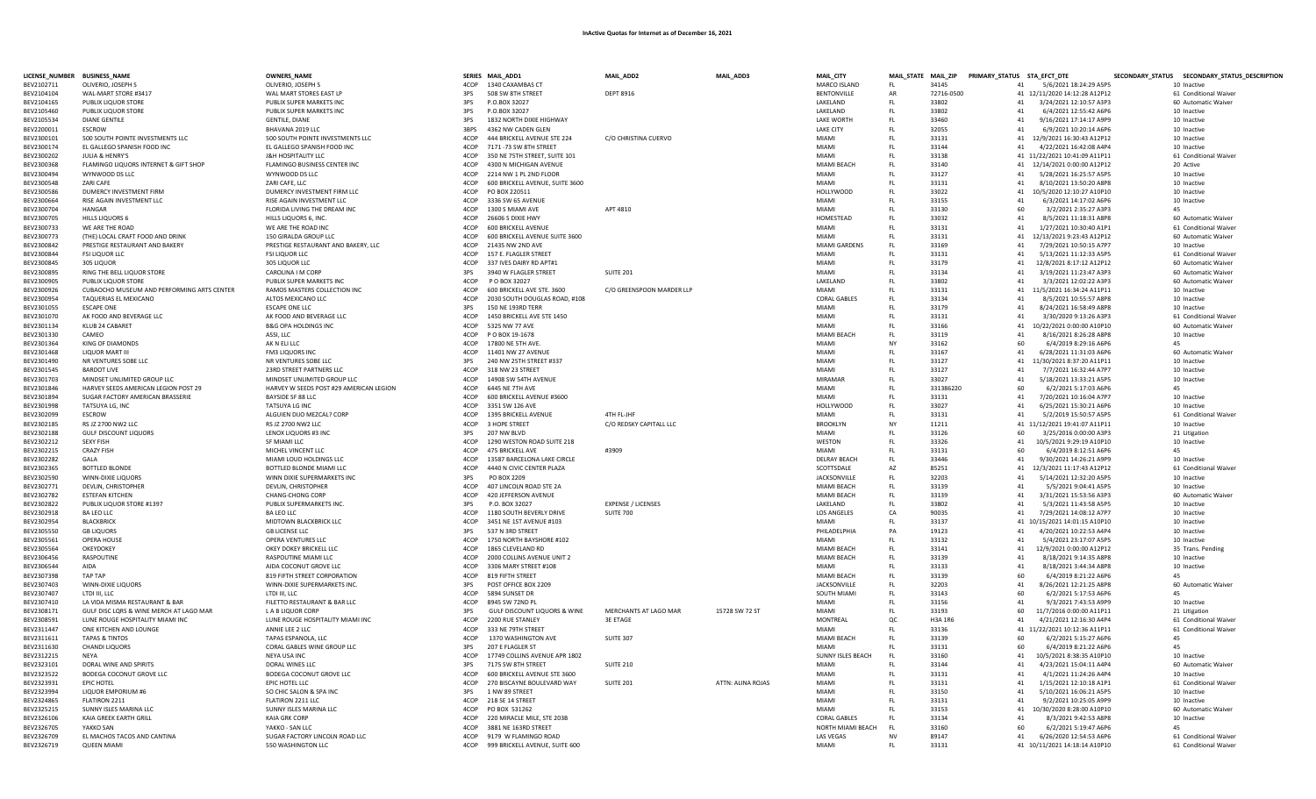|                          | LICENSE_NUMBER BUSINESS_NAME                               | <b>OWNERS_NAME</b>                           |              | SERIES MAIL_ADD1                                           | MAIL_ADD2                                | MAIL_ADD3         | MAIL_CITY                        |           | MAIL_STATE MAIL_ZIP PRIMARY_STATUS STA_EFCT_DTE |          |                                                          | SECONDARY_STATUS SECONDARY_STATUS_DESCRIPTION |  |
|--------------------------|------------------------------------------------------------|----------------------------------------------|--------------|------------------------------------------------------------|------------------------------------------|-------------------|----------------------------------|-----------|-------------------------------------------------|----------|----------------------------------------------------------|-----------------------------------------------|--|
| BEV2102711               | OLIVERIO, JOSEPH S                                         | OLIVERIO, JOSEPH S                           | 4COP         | 1340 CAXAMBAS CT                                           |                                          |                   | <b>MARCO ISLAND</b>              | FL.       | 34145                                           | 41       | 5/6/2021 18:24:29 A5P5                                   | 10 Inactive                                   |  |
| BEV2104104               | WAL-MART STORE #3417                                       | WAL MART STORES EAST LP                      | 3PS          | 508 SW 8TH STREET                                          | <b>DEPT 8916</b>                         |                   | <b>BENTONVILLE</b>               | AR        | 72716-0500                                      |          | 41 12/11/2020 14:12:28 A12P12                            | 61 Conditional Waiver                         |  |
| BFV2104165               | PUBLIX HOUOR STORE                                         | PUBLIX SUPER MARKETS INC                     | 3PS          | P.O.BOX 32027                                              |                                          |                   | LAKELAND                         | FL.       | 33802                                           | 41       | 3/24/2021 12:10:57 A3P3                                  | 60 Automatic Waiver                           |  |
| BEV2105460               | PUBLIX LIQUOR STORE                                        | PUBLIX SUPER MARKETS INC                     | 3PS          | P.O.BOX 32027                                              |                                          |                   | LAKELAND                         | FL        | 33802                                           | 41       | 6/4/2021 12:55:42 A6P6                                   | 10 Inactive                                   |  |
| BFV2105534               | <b>DIANE GENTILE</b>                                       | <b>GENTILE, DIANE</b>                        | 3PS          | 1832 NORTH DIXIF HIGHWAY                                   |                                          |                   | <b>LAKE WORTH</b>                | FI.       | 33460                                           | 41       | 9/16/2021 17:14:17 A9P9                                  | 10 Inactive                                   |  |
| BEV2200011               | <b>ESCROW</b>                                              | BHAVANA 2019 LLC                             | 3BPS         | 4362 NW CADEN GLEN                                         |                                          |                   | <b>LAKE CITY</b>                 | FL        | 32055                                           | 41       | 6/9/2021 10:20:14 A6P6                                   | 10 Inactive                                   |  |
| BEV2300101               | 500 SOUTH POINTE INVESTMENTS LLC                           | 500 SOUTH POINTE INVESTMENTS LLC             | 4COP         | 444 BRICKELL AVENUE STE 224                                | C/O CHRISTINA CUERVO                     |                   | <b>MIAMI</b>                     | FL.       | 33131                                           |          | 41 12/9/2021 16:30:43 A12P12                             | 10 Inactive                                   |  |
| BEV2300174               | EL GALLEGO SPANISH FOOD INC                                | EL GALLEGO SPANISH FOOD INC                  | 4COP         | 7171-73 SW 8TH STREET                                      |                                          |                   | MIAMI                            | FL.       | 33144                                           | 41       | 4/22/2021 16:42:08 A4P4                                  | 10 Inactive                                   |  |
| BEV2300202               | <b>IULIA &amp; HENRY'S</b>                                 | <b>J&amp;H HOSPITALITY LLC</b>               | 4COP         | 350 NE 75TH STREET, SUITE 101                              |                                          |                   | <b>MIAMI</b>                     | FL        | 33138                                           |          | 41 11/22/2021 10:41:09 A11P11                            | 61 Conditional Waiver                         |  |
| BEV2300368               | FLAMINGO LIQUORS INTERNET & GIFT SHOP                      | FLAMINGO BUSINESS CENTER INC                 | 4COP         | 4300 N MICHIGAN AVENUE                                     |                                          |                   | MIAMI BEACH                      | FL.       | 33140                                           |          | 41 12/14/2021 0:00:00 A12P12                             | 20 Active                                     |  |
| BEV2300494               | WYNWOOD DS LLC                                             | WYNWOOD DS LLC                               | 4COP         | 2214 NW 1 PL 2ND FLOOR                                     |                                          |                   | <b>MIAMI</b>                     | FL        | 33127                                           | 41       | 5/28/2021 16:25:57 A5P5                                  | 10 Inactive                                   |  |
| BEV2300548               | <b>ZARI CAFE</b>                                           | ZARI CAFE, LLC                               | 4COP         | 600 BRICKELL AVENUE, SUITE 3600                            |                                          |                   | MIAMI                            | FL        | 33131                                           | 41       | 8/10/2021 13:50:20 A8P8                                  | 10 Inactive                                   |  |
| BEV2300586               | DUMERCY INVESTMENT FIRM                                    | DUMERCY INVESTMENT FIRM LLC                  | 4COP         | PO BOX 220511                                              |                                          |                   | <b>HOLLYWOOD</b>                 | FL        | 33022                                           |          | 41 10/5/2020 12:10:27 A10P10                             | 10 Inactive                                   |  |
| BEV2300664               | RISE AGAIN INVESTMENT LLC                                  | RISE AGAIN INVESTMENT LLC                    | 4COP         | 3336 SW 65 AVENUE                                          |                                          |                   | <b>MIAMI</b>                     | FL        | 33155                                           | 41       | 6/3/2021 14:17:02 A6P6                                   | 10 Inactive                                   |  |
| BEV2300704               | <b>HANGAR</b>                                              | FLORIDA LIVING THE DREAM INC                 | 4COP         | 1300 S MIAMI AVE                                           | APT 4810                                 |                   | MIAMI                            | FL.       | 33130                                           | 60       | 3/2/2021 2:35:27 A3P3                                    | 45                                            |  |
| BEV2300705               | <b>HILLS LIQUORS 6</b>                                     | HILLS LIQUORS 6, INC.                        | 4COP         | 26606 S DIXIE HWY                                          |                                          |                   | HOMESTEAD                        | FL.       | 33032                                           | 41       | 8/5/2021 11:18:31 A8P8                                   | 60 Automatic Waiver                           |  |
| BEV2300733               | WE ARE THE ROAD                                            | WE ARE THE ROAD INC                          | 4COP         | 600 BRICKELL AVENUE                                        |                                          |                   | <b>MIAMI</b>                     | FL.       | 33131                                           | 41       | 1/27/2021 10:30:40 A1P1                                  | 61 Conditional Waiver                         |  |
| BEV2300773               | (THE) LOCAL CRAFT FOOD AND DRINK                           | 150 GIRALDA GROUP LLC                        | 4COP         | 600 BRICKELL AVENUE SUITE 3600                             |                                          |                   | <b>MIAMI</b>                     | FL.       | 33131                                           | 41       | 12/13/2021 9:23:43 A12P12                                | 60 Automatic Waiver                           |  |
| BEV2300842               | PRESTIGE RESTAURANT AND BAKERY                             | PRESTIGE RESTAURANT AND BAKERY, LLC          | 4COP         | 21435 NW 2ND AVE                                           |                                          |                   | MIAMI GARDENS                    | FL.       | 33169                                           | 41       | 7/29/2021 10:50:15 A7P7                                  | 10 Inactive                                   |  |
| BEV2300844               | <b>FSI LIQUOR LLC</b>                                      | <b>FSI LIQUOR LLC</b>                        | 4COP         | 157 E. FLAGLER STREET                                      |                                          |                   | <b>MIAM</b>                      | FL.       | 33131                                           | 41       | 5/13/2021 11:12:33 A5P5                                  | 61 Conditional Waiver                         |  |
| BEV2300845               | 305 LIQUOR                                                 | 305 LIQUOR LLC                               | 4COP         | 337 IVES DAIRY RD APT#1                                    |                                          |                   | MIAMI                            | FL.       | 33179                                           | 41       | 12/8/2021 8:17:12 A12P12                                 | 60 Automatic Waiver                           |  |
| BEV2300895               | RING THE BELL LIQUOR STORE                                 | CAROLINA I M CORP                            | 3PS          | 3940 W FLAGLER STREET                                      | <b>SUITE 201</b>                         |                   | <b>MIAMI</b>                     | FL.       | 33134                                           | 41       | 3/19/2021 11:23:47 A3P3                                  | 60 Automatic Waiver                           |  |
| BEV2300905               | <b>PUBLIX LIQUOR STORE</b>                                 | PUBLIX SUPER MARKETS IN                      | 4COP         | P O BOX 32027                                              |                                          |                   | LAKELAND                         | FL.       | 33802                                           | 41       | 3/3/2021 12:02:22 A3P3                                   | 60 Automatic Waiver                           |  |
| BEV2300926               | CUBAOCHO MUSEUM AND PERFORMING ARTS CENTER                 | RAMOS MASTERS COLLECTION INC                 | 4COP         | 600 BRICKELL AVE STE. 3600                                 | C/O GREENSPOON MARDER LLP                |                   | <b>MIAMI</b>                     | FL        | 33131                                           | 41       | 11/5/2021 16:34:24 A11P11                                | 10 Inactive                                   |  |
| BEV2300954               | TAQUERIAS EL MEXICANO                                      | ALTOS MEXICANO LLC                           | 4COP         | 2030 SOUTH DOUGLAS ROAD, #108                              |                                          |                   | <b>CORAL GABLES</b>              | FL        | 33134                                           | 41       | 8/5/2021 10:55:57 A8P8                                   | 10 Inactive                                   |  |
| BEV2301055               | <b>ESCAPE ONE</b>                                          | <b>ESCAPE ONE LLC</b>                        | 3PS          | 150 NE 193RD TERR                                          |                                          |                   | <b>MIAMI</b>                     | FL        | 33179                                           | 41       | 8/24/2021 16:58:49 A8P8                                  | 10 Inactive                                   |  |
| BEV2301070               | AK FOOD AND BEVERAGE LLC                                   | AK FOOD AND BEVERAGE LLC                     | 4COP         | 1450 BRICKELL AVE STE 1450                                 |                                          |                   | <b>MIAMI</b>                     | FL        | 33131                                           | 41       | 3/30/2020 9:13:26 A3P3                                   | 61 Conditional Waiver                         |  |
| BEV2301134               | KLUB 24 CABARET                                            | <b>B&amp;G OPA HOLDINGS INC</b>              | 4COP         | 5325 NW 77 AVE                                             |                                          |                   | <b>MIAMI</b>                     | FL        | 33166                                           | 41       | 10/22/2021 0:00:00 A10P10                                | 60 Automatic Waiver                           |  |
| BEV2301330               | CAMEO                                                      | ASSI, LLC                                    | 4COP         | P O BOX 19-1678                                            |                                          |                   | MIAMI BEACH                      | FL        | 33119                                           | 41       | 8/16/2021 8:26:28 A8P8                                   | 10 Inactive                                   |  |
| BEV2301364               | <b>KING OF DIAMONDS</b>                                    | AK N ELI LLC                                 | 4COP         | 17800 NE 5TH AVE                                           |                                          |                   | <b>MIAMI</b>                     | <b>NY</b> | 33162                                           | 60       | 6/4/2019 8:29:16 A6P6                                    | 45                                            |  |
| BEV2301468               | LIQUOR MART III                                            | <b>FM3 LIQUORS INC</b>                       | 4COP         | 11401 NW 27 AVENUE                                         |                                          |                   | <b>MIAMI</b>                     | FI.       | 33167                                           | 41       | 6/28/2021 11:31:03 A6P6                                  | 60 Automatic Waiver                           |  |
| BEV2301490               | NR VENTURES SOBE LLC                                       | NR VENTURES SOBE LLC                         | 3PS          | 240 NW 25TH STREET #337                                    |                                          |                   | <b>MIAMI</b>                     | FL        | 33127                                           | 41       | 11/30/2021 8:37:20 A11P11                                | 10 Inactive                                   |  |
| BEV2301545               | <b>BARDOT LIVE</b>                                         | 23RD STREET PARTNERS LLC                     | 4COP         | 318 NW 23 STREET                                           |                                          |                   | <b>MIAMI</b>                     | EL.       | 33127                                           | 41       | 7/7/2021 16:32:44 A7P7                                   | 10 Inactive                                   |  |
| BEV2301703               | MINDSET UNLIMITED GROUP LLC                                | MINDSET UNLIMITED GROUP LLC                  | 4COP         | 14908 SW 54TH AVENUE                                       |                                          |                   | <b>MIRAMAF</b>                   | FL.       | 33027                                           | 41       | 5/18/2021 13:33:21 A5P5                                  | 10 Inactive                                   |  |
| BEV2301846               | HARVEY SEEDS AMERICAN LEGION POST 29                       | HARVEY W SEEDS POST #29 AMERICAN LEGION      | 4COP         | <b>6445 NE 7TH AVE</b>                                     |                                          |                   | <b>MIAMI</b>                     | FL.       | 331386220                                       | 60       | 6/2/2021 5:17:03 A6P6                                    | 45                                            |  |
| BEV2301894               | SUGAR FACTORY AMERICAN BRASSERIE                           | <b>BAYSIDE SF 88 LLC</b>                     | 4COP         | 600 BRICKELL AVENUE #3600                                  |                                          |                   | MIAMI                            | FL.       | 33131                                           | 41       | 7/20/2021 10:16:04 A7P7                                  | 10 Inactive                                   |  |
| BEV2301998               | TATSUYA LG, INC                                            | TATSUYA LG INC                               | 4COP         | 3351 SW 126 AVE                                            |                                          |                   | <b>HOLLYWOOD</b>                 | FL        | 33027                                           | 41       | 6/25/2021 15:30:21 A6P6                                  | 10 Inactive                                   |  |
| BEV2302099               | ESCROW                                                     | ALGUIEN DIJO MEZCAL? CORP                    | 4COP         | 1395 BRICKELL AVENUE                                       | 4TH FL-JHF                               |                   | <b>MIAMI</b>                     | FL        | 33131                                           | 41       | 5/2/2019 15:50:57 A5P5                                   | 61 Conditional Waive                          |  |
| BEV2302185               | RS JZ 2700 NW2 LLC                                         | RS JZ 2700 NW2 LLC                           | 4COP         | 3 HOPE STREET                                              | C/O REDSKY CAPITALL LLC                  |                   | <b>BROOKLYN</b>                  | <b>NY</b> | 11211                                           |          | 41 11/12/2021 19:41:07 A11P11                            | 10 Inactive                                   |  |
| BEV2302188               | <b>GULF DISCOUNT LIQUORS</b>                               | LENOX LIQUORS #3 INC                         | 3PS          | 207 NW BLVD                                                |                                          |                   | <b>MIAMI</b>                     | FL.       | 33126                                           | 60       | 3/25/2016 0:00:00 A3P3                                   | 21 Litigation                                 |  |
| BEV2302212               | <b>SEXY FISH</b>                                           | SF MIAMI LLC                                 | 4COP         | 1290 WESTON ROAD SUITE 218                                 |                                          |                   | WESTON                           | FL        | 33326                                           | 41       | 10/5/2021 9:29:19 A10P10                                 | 10 Inactive                                   |  |
| BEV2302215               | <b>CRAZY FISH</b>                                          | MICHEL VINCENT LLC                           | 4COP         | <b>475 BRICKELL AVE</b>                                    | #3909                                    |                   | <b>MIAMI</b>                     | FL.       | 33131                                           | 60       | 6/4/2019 8:12:51 A6P6                                    | 45                                            |  |
| BEV2302282               | GAI A                                                      | MIAMI LOUD HOLDINGS LLC                      | 4COP         | 13587 BARCELONA LAKE CIRCLE                                |                                          |                   | DELRAY BEACH                     | FL        | 33446                                           | 41       | 9/30/2021 14:26:21 A9P9                                  | 10 Inactive                                   |  |
| BFV2302365               | BOTTLED BLONDE                                             | BOTTLED BLONDE MIAMI LLC                     | 4COP         | 4440 N CIVIC CENTER PLAZA                                  |                                          |                   | SCOTTSDALE                       | A7        | 85251                                           | 41       | 12/3/2021 11:17:43 A12P12                                | 61 Conditional Waiver                         |  |
| BEV2302590               | <b>WINN-DIXIE LIQUORS</b>                                  | WINN DIXIE SUPERMARKETS INC                  | 3PS          | PO BOX 2209                                                |                                          |                   | <b>JACKSONVILLE</b>              | FL.       | 32203                                           | 41       | 5/14/2021 12:32:20 A5P5                                  | 10 Inactive                                   |  |
| BEV2302771               | DEVILN, CHRISTOPHER                                        | DEVLIN, CHRISTOPHER                          | 4COP         | 407 LINCOLN ROAD STE 2A                                    |                                          |                   | MIAMI BFACH                      | FI.       | 33139                                           | 41       | 5/5/2021 9:04:41 A5P5                                    | 10 Inactive                                   |  |
| BEV2302782               | <b>ESTEFAN KITCHEN</b>                                     | <b>CHANG-CHONG CORP</b>                      | 4COP         | 420 JEFFERSON AVENUE                                       |                                          |                   | MIAMI BEACH                      | FL.       | 33139                                           | 41       | 3/31/2021 15:53:56 A3P3                                  | 60 Automatic Waiver                           |  |
| BEV2302822               | PUBLIX LIQUOR STORE #1397                                  | PUBLIX SUPERMARKETS INC.                     | 3PS          | P.O. BOX 32027                                             | <b>EXPENSE / LICENSES</b>                |                   | LAKELAND                         | FL.       | 33802                                           | 41       | 5/3/2021 11:43:58 A5P5                                   | 10 Inactive                                   |  |
| BEV2302918               | <b>BA LEO LLC</b>                                          | BA LEO LLC                                   | 4COP         | 1180 SOUTH BEVERLY DRIVE                                   | SUITE 700                                |                   | <b>LOS ANGELES</b>               | CA        | 90035                                           | 41       | 7/29/2021 14:08:12 A7P7                                  | 10 Inactive                                   |  |
| BEV2302954               | <b>BLACKBRICK</b>                                          | MIDTOWN BLACKBRICK LLC                       | 4COP         | 3451 NF 1ST AVENUE #103                                    |                                          |                   | <b>MIAMI</b>                     | FL.       | 33137                                           |          | 41 10/15/2021 14:01:15 A10P10                            | 10 Inactive                                   |  |
| BEV2305550               | <b>GB LIQUORS</b>                                          | <b>GB LICENSE LLC</b>                        | 3PS          | 537 N 3RD STREET                                           |                                          |                   | PHILADELPHIA                     | PA        | 19123                                           | 41       | 4/20/2021 10:22:53 A4P4                                  | 10 Inactive                                   |  |
| BEV2305561               | OPERA HOUSE                                                | OPERA VENTURES LLC                           | 4COP         | 1750 NORTH BAYSHORE #102                                   |                                          |                   | <b>MIAMI</b>                     | FL.       | 33132                                           | 41       | 5/4/2021 23:17:07 A5P5                                   | 10 Inactive                                   |  |
| BEV2305564               | OKEYDOKEY                                                  | OKEY DOKEY BRICKELL LLC                      | 4COP         | 1865 CLEVELAND RD                                          |                                          |                   | MIAMI BEACH                      | FL        | 33141                                           | 41       | 12/9/2021 0:00:00 A12P12                                 | 35 Trans. Pending                             |  |
| BEV2306456               | RASPOUTINE                                                 | RASPOUTINE MIAMI LLC                         | 4COP         | 2000 COLLINS AVENUE UNIT 2                                 |                                          |                   | MIAMI BEACH                      | FL.       | 33139                                           | 41       | 8/18/2021 9:14:35 A8P8                                   | 10 Inactive                                   |  |
| BEV2306544               | <b>AIDA</b>                                                | AIDA COCONUT GROVE LLC                       | 4COP         | 3306 MARY STREET #108                                      |                                          |                   | <b>MIAMI</b>                     | FL        | 33133                                           | 41       | 8/18/2021 3:44:34 A8P8                                   | 10 Inactive                                   |  |
| BEV2307398               | <b>TAP TAP</b>                                             | 819 FIFTH STREET CORPORATION                 | 4COP<br>3PS  | 819 FIFTH STREET                                           |                                          |                   | MIAMI BEACH                      | FL        | 33139                                           | 60       | 6/4/2019 8:21:22 A6P6                                    |                                               |  |
| BEV2307403               | WINN-DIXIE LIQUORS                                         | WINN-DIXIE SUPERMARKETS INC.                 |              | POST OFFICE BOX 2209                                       |                                          |                   | <b>JACKSONVILLE</b>              | FL        | 32203                                           | 41       | 8/26/2021 12:21:25 A8P8                                  | 60 Automatic Waiver                           |  |
| BEV2307407               | LTDI III. LLC                                              | LTDI III. LLC                                | 4COP         | 5894 SUNSET DR                                             |                                          |                   | SOUTH MIAMI                      | FL.       | 33143                                           | 60       | 6/2/2021 5:17:53 A6P6                                    | 45                                            |  |
| BEV2307410               | LA VIDA MISMA RESTAURANT & BAR                             | FILETTO RESTAURANT & BAR LLC                 | 4COP         | 8945 SW 72ND PI                                            |                                          |                   | <b>MIAMI</b>                     | FL        | 33156                                           | 41       | 9/3/2021 7:43:53 A9PC                                    | 10 Inactive                                   |  |
| BEV2308171               | GULF DISC LORS & WINE MERCH AT LAGO MAR                    | L A B LIQUOR CORP                            | 3PS<br>4COP  | <b>GULF DISCOUNT LIQUORS &amp; WINE</b>                    | MERCHANTS AT LAGO MAR<br><b>3F FTAGE</b> | 15728 SW 72 ST    | MIAMI                            | FL        | 33193                                           | 60<br>41 | 11/7/2016 0:00:00 A11P11                                 | 21 Litigation                                 |  |
| BEV2308591               | LUNE ROUGE HOSPITALITY MIAMI INC<br>ONE KITCHEN AND LOUNGE | LUNE ROUGE HOSPITALITY MIAMI INC             | 4COP         | 2200 RUE STANLEY<br>333 NE 79TH STREET                     |                                          |                   | MONTREAL<br>MIAMI                | QC<br>FL. | <b>H3A 1R6</b><br>33136                         |          | 4/21/2021 12:16:30 A4P4<br>41 11/22/2021 10:12:36 A11P11 | 61 Conditional Waiver                         |  |
| BEV2311447               | <b>TAPAS &amp; TINTOS</b>                                  | ANNIE LEE 2 LLC                              | 4COP         |                                                            |                                          |                   | MIAMI BFACH                      | FL.       | 33139                                           | 60       |                                                          | 61 Conditional Waiver                         |  |
| BEV2311611               |                                                            | TAPAS ESPANOLA, LLC                          |              | 1370 WASHINGTON AVE                                        | <b>SUITE 307</b>                         |                   |                                  |           |                                                 |          | 6/2/2021 5:15:27 A6P6                                    | 45                                            |  |
| BEV2311630               | <b>CHANDI LIQUORS</b><br><b>NFYA</b>                       | CORAL GABLES WINE GROUP LLC                  | 3PS          | 207 E FLAGLER ST                                           |                                          |                   | MIAMI                            | FL        | 33131                                           | 60       | 6/4/2019 8:21:22 A6P6                                    |                                               |  |
| BEV2312215               |                                                            | NEYA USA INC                                 | 4COP<br>3PS  | 17749 COLLINS AVENUE APR 1802                              | <b>SUITE 210</b>                         |                   | SUNNY ISLES BEACH<br><b>MIAM</b> | FL<br>FL  | 33160                                           | 41<br>41 | 10/5/2021 8:38:35 A10P10                                 | 10 Inactive                                   |  |
| BEV2323101               | DORAL WINE AND SPIRITS                                     | DORAL WINES LLC                              |              | 7175 SW 8TH STREET                                         |                                          |                   | MIAMI                            |           | 33144                                           | 41       | 4/23/2021 15:04:11 A4P4                                  | 60 Automatic Waiver                           |  |
| BEV2323522               | BODEGA COCONUT GROVE LLC<br><b>EPIC HOTEL</b>              | BODEGA COCONUT GROVE LLC                     | 4COP<br>4COP | 600 BRICKELL AVENUE STE 3600<br>270 BISCAYNE BOULEVARD WAY | <b>SUITE 201</b>                         | ATTN: ALINA ROJAS | <b>MIAMI</b>                     | FL<br>FL  | 33131                                           | 41       | 4/1/2021 11:24:26 A4P4                                   | 10 Inactive                                   |  |
| BEV2323931<br>BEV2323994 | LIQUOR EMPORIUM #6                                         | EPIC HOTEL LLC                               | 3PS          | 1 NW 89 STREET                                             |                                          |                   | MIAMI                            | FL        | 33131<br>33150                                  | 41       | 1/15/2021 12:10:18 A1P1<br>5/10/2021 16:06:21 A5P5       | 61 Conditional Waiver<br>10 Inactive          |  |
| BEV2324865               | <b>FLATIRON 2211</b>                                       | SO CHIC SALON & SPA INC<br>FLATIRON 2211 LLC | 4COP         | 218 SE 14 STREET                                           |                                          |                   | <b>MIAMI</b>                     | FI.       | 33131                                           | 41       | 9/2/2021 10:25:05 A9PS                                   | 10 Inactive                                   |  |
| BEV2325215               | SUNNY ISLES MARINA LLC                                     | SUNNY ISLES MARINA LLC                       | 4COP         | PO BOX 531262                                              |                                          |                   | <b>MIAMI</b>                     | FI.       | 33153                                           | 41       | 10/30/2020 8:28:00 A10P10                                | 60 Automatic Waiver                           |  |
| BFV2326106               | KAIA GREEK FARTH GRILL                                     | KAIA GRK CORP                                | 4COP         | 220 MIRACLE MILE, STE 203B                                 |                                          |                   | CORAL GABLES                     | FI.       | 33134                                           | 41       | 8/3/2021 9:42:53 A8P8                                    | 10 Inactive                                   |  |
| BEV2326705               | YAKKO SAN                                                  | YAKKO - SAN LLC                              | 4COP         | 3881 NE 163RD STREET                                       |                                          |                   | <b>NORTH MIAMI BEACH</b>         | FL.       | 33160                                           | 60       | 6/2/2021 5:19:47 A6P6                                    | 45                                            |  |
| BEV2326709               | EL MACHOS TACOS AND CANTINA                                | SUGAR FACTORY LINCOLN ROAD LLC               |              | 4COP 9179 W FLAMINGO ROAD                                  |                                          |                   | LAS VEGAS                        | <b>NV</b> | 89147                                           | 41       | 6/26/2020 12:54:53 A6P6                                  | 61 Conditional Waiver                         |  |
| BEV2326719               | <b>QUEEN MIAMI</b>                                         | 550 WASHINGTON LLC                           |              | 4COP 999 BRICKELL AVENUE, SUITE 600                        |                                          |                   | MIAMI                            | F1        | 33131                                           |          | 41 10/11/2021 14:18:14 A10P10                            | 61 Conditional Waiver                         |  |
|                          |                                                            |                                              |              |                                                            |                                          |                   |                                  |           |                                                 |          |                                                          |                                               |  |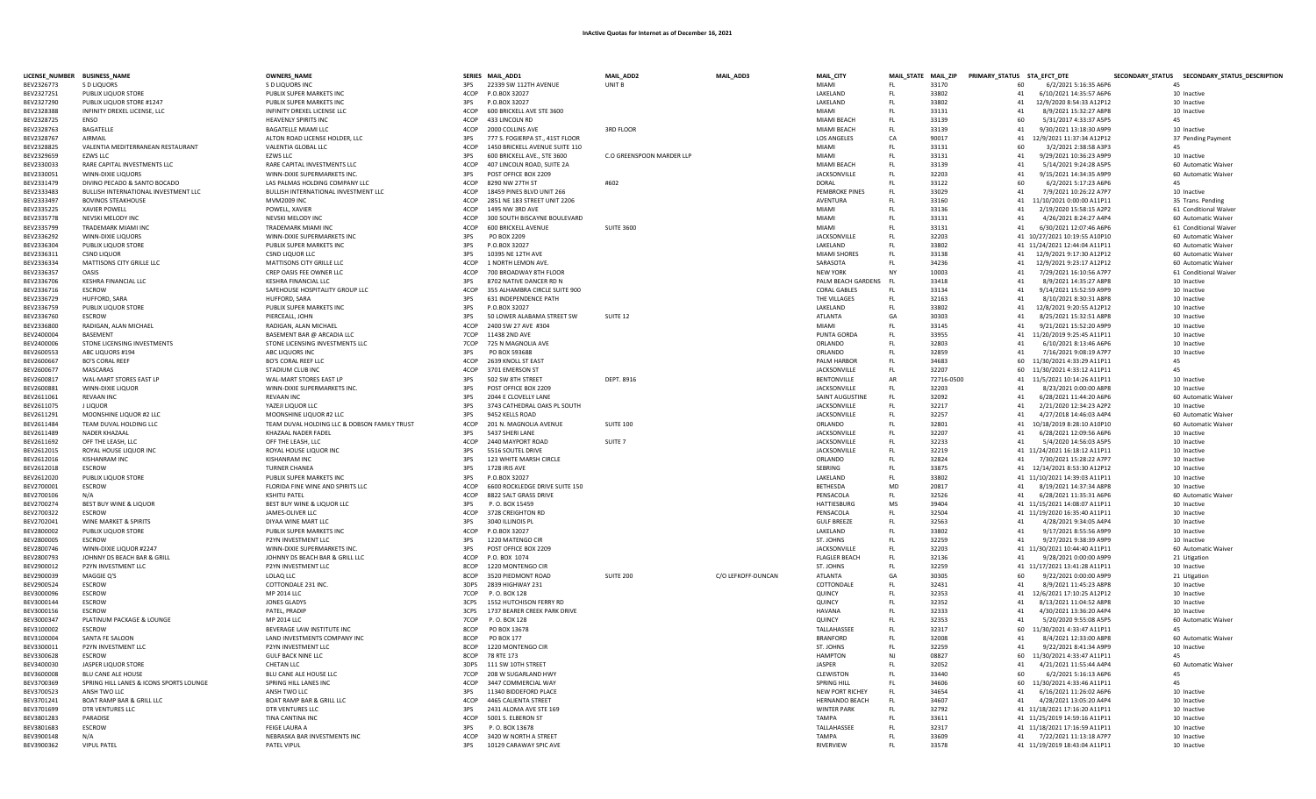| LICENSE_NUMBER BUSINESS_NAME |                                                    | <b>OWNERS_NAME</b>                                     |             | SERIES MAIL_ADD1                  | MAIL_ADD2                 | MAIL_ADD3          | MAIL_CITY                         | MAIL_STATE MAIL_ZIP |                |          | PRIMARY_STATUS STA_EFCT_DTE                      | SECONDARY_STATUS SECONDARY_STATUS_DESCRIPTION |
|------------------------------|----------------------------------------------------|--------------------------------------------------------|-------------|-----------------------------------|---------------------------|--------------------|-----------------------------------|---------------------|----------------|----------|--------------------------------------------------|-----------------------------------------------|
| BEV2326773                   | S D LIQUORS                                        | S D LIQUORS INC                                        |             | 3PS 22339 SW 112TH AVENUE         | UNIT B                    |                    | <b>MIAMI</b>                      | FL.                 | 33170          | 60       | 6/2/2021 5:16:35 A6P6                            | 45                                            |
| BEV2327251                   | PUBLIX LIQUOR STORE                                | PUBLIX SUPER MARKETS INC                               |             | 4COP P.O.BOX 32027                |                           |                    | LAKELAND                          | FL.                 | 33802          | 41       | 6/10/2021 14:35:57 A6P6                          | 10 Inactive                                   |
| BEV2327290                   | PUBLIX LIQUOR STORE #1247                          | PUBLIX SUPER MARKETS INC                               | 3PS         | P.O.BOX 32027                     |                           |                    | LAKELAND                          | FL.                 | 33802          | 41       | 12/9/2020 8:54:33 A12P12                         | 10 Inactive                                   |
| BEV2328388                   | INFINITY DREXEL LICENSE, LLC                       | INFINITY DREXEL LICENSE LLC                            | 4COP        | 600 BRICKELL AVE STE 3600         |                           |                    | <b>MIAMI</b>                      | FL.                 | 33131          | 41       | 8/9/2021 15:32:27 A8P8                           | 10 Inactive                                   |
| BEV2328725                   | <b>FNSO</b>                                        | <b>HEAVENLY SPIRITS INC</b>                            | 4COP        | 433 LINCOLN RD                    |                           |                    | MIAMI BEACH                       | EL.                 | 33139          | 60       | 5/31/2017 4:33:37 A5P5                           | 45                                            |
| BEV2328763                   | <b>BAGATELLE</b>                                   | <b>BAGATELLE MIAMI LLC</b>                             | 4COP        | 2000 COLLINS AVE                  | <b>3RD FLOOR</b>          |                    | MIAMI BEACH                       | FL.                 | 33139          | 41       | 9/30/2021 13:18:30 A9PS                          | 10 Inactive                                   |
| BEV2328767                   | <b>AIRMAIL</b>                                     | ALTON ROAD LICENSE HOLDER, LLC                         | 3PS         | 777 S. FOGIERPA ST., 41ST FLOOR   |                           |                    | <b>LOS ANGELES</b>                | CA                  | 90017          |          | 41 12/9/2021 11:37:34 A12P12                     | 37 Pending Payment                            |
| BEV2328825                   | VALENTIA MEDITERRANEAN RESTAURANT                  | VALENTIA GLOBAL LLC                                    | 4COP        | 1450 BRICKELL AVENUE SUITE 110    |                           |                    | <b>MIAMI</b>                      | FL.                 | 33131          | 60       | 3/2/2021 2:38:58 A3P3                            | 45                                            |
| BEV2329659                   | <b>EZWS LLC</b>                                    | <b>EZWS LLC</b>                                        | 3PS         | 600 BRICKELL AVE., STE 3600       | C.O GREENSPOON MARDER LLP |                    | <b>MIAMI</b>                      | FL.                 | 33131          | 41       | 9/29/2021 10:36:23 A9P9                          | 10 Inactive                                   |
| BEV2330033                   | RARE CAPITAL INVESTMENTS LLC                       | RARE CAPITAL INVESTMENTS LLC                           | 4COP        | 407 LINCOLN ROAD, SUITE 2A        |                           |                    | MIAMI BEACH                       | FL.                 | 33139          | 41       | 5/14/2021 9:24:28 A5P5                           | 60 Automatic Waiver                           |
| BEV2330051                   | WINN-DIXIE LIQUORS                                 | WINN-DIXIE SUPERMARKETS INC                            | 3PS         | POST OFFICE BOX 2209              |                           |                    | <b>JACKSONVILLE</b>               | FL.                 | 32203          | 41       | 9/15/2021 14:34:35 A9P9                          | 60 Automatic Waiver                           |
| BEV2331479                   | DIVINO PECADO & SANTO BOCADO                       | LAS PALMAS HOLDING COMPANY LLC                         | 4COP        | 8290 NW 27TH ST                   | #602                      |                    | <b>DORAI</b>                      | EL.                 | 33122          | 60       | 6/2/2021 5:17:23 A6P6                            | 45                                            |
| BEV2333483                   | BULLISH INTERNATIONAL INVESTMENT LLC               | BULLISH INTERNATIONAL INVESTMENT LLC                   | 4COP        | 18459 PINES BLVD UNIT 266         |                           |                    | PEMBROKE PINES                    | FL.                 | 33029          | 41       | 7/9/2021 10:26:22 A7P7                           | 10 Inactive                                   |
| BEV2333497                   | <b>BOVINOS STEAKHOUSE</b>                          | <b>MVM2009 INC</b>                                     | 4COP        | 2851 NE 183 STREET UNIT 2206      |                           |                    | AVENTURA                          | FL.                 | 33160          |          | 41 11/10/2021 0:00:00 A11P11                     | 35 Trans. Pending                             |
| BEV2335225                   | <b>XAVIER POWELL</b>                               | POWELL, XAVIER                                         | 4COP        | 1495 NW 3RD AVE                   |                           |                    | <b>MIAMI</b>                      | FL                  | 33136          | 41       | 2/19/2020 15:58:15 A2P2                          | 61 Conditional Waiver                         |
| BEV2335778                   | NEVSKI MELODY INC                                  | NEVSKI MELODY INC                                      | 4COP        | 300 SOUTH BISCAYNE BOULEVARD      |                           |                    | <b>MIAMI</b>                      | FL                  | 33131          | 41       | 4/26/2021 8:24:27 A4P4                           | 60 Automatic Waiver                           |
| BEV2335799                   | <b>TRADEMARK MIAMI INC</b>                         | TRADEMARK MIAMI INC                                    | 4COP        | <b>600 BRICKELL AVENUE</b>        | <b>SUITE 3600</b>         |                    | <b>MIAMI</b>                      | FL.                 | 33131          | 41       | 6/30/2021 12:07:46 A6P6                          | 61 Conditional Waiver                         |
| BEV2336292                   | WINN-DIXIE LIQUORS                                 | WINN-DIXIE SUPERMARKETS INC                            | 3PS         | PO BOX 2209                       |                           |                    | <b>JACKSONVILLE</b>               | FL.                 | 32203          |          | 41 10/27/2021 10:19:55 A10P10                    | 60 Automatic Waiver                           |
| BEV2336304                   | PUBLIX LIQUOR STORE                                | PUBLIX SUPER MARKETS INC                               | 3PS         | P.O.BOX 32027                     |                           |                    | LAKELAND                          | FL.                 | 33802          |          | 41 11/24/2021 12:44:04 A11P11                    | 60 Automatic Waiver                           |
| BEV2336311                   | <b>CSND LIQUOR</b>                                 | <b>CSND LIQUOR LLC</b>                                 | 3PS         | 10395 NE 12TH AVE                 |                           |                    | MIAMI SHORES                      | FL.                 | 33138          |          | 41 12/9/2021 9:17:30 A12P12                      | 60 Automatic Waiver                           |
| BEV2336334                   | MATTISONS CITY GRILLE LLC                          | MATTISONS CITY GRILLE LLC                              | 4COP        | 1 NORTH LEMON AVE                 |                           |                    | SARASOTA                          | FL                  | 34236          |          | 41 12/9/2021 9:23:17 A12P12                      | 60 Automatic Waiver                           |
| BEV2336357                   | <b>OASIS</b>                                       | CREP OASIS FEE OWNER LLC                               | 4COP        | 700 BROADWAY 8TH FLOOR            |                           |                    | <b>NEW YORK</b>                   | <b>NY</b>           | 10003          | 41       | 7/29/2021 16:10:56 A7P7                          | 61 Conditional Waiver                         |
| BEV2336706                   | KESHRA FINANCIAL LLC                               | <b>KESHRA FINANCIAL LLC</b>                            | 3PS         | 8702 NATIVE DANCER RD N           |                           |                    | PALM BEACH GARDENS FL             |                     | 33418          | 41       | 8/9/2021 14:35:27 A8P8                           | 10 Inactive                                   |
| BEV2336716                   | <b>ESCROW</b>                                      | SAFEHOUSE HOSPITALITY GROUP LLC                        | 4COP        | 355 ALHAMBRA CIRCLE SUITE 900     |                           |                    | <b>CORAL GABLES</b>               | FL.                 | 33134          | 41       | 9/14/2021 15:52:59 A9P9                          | 10 Inactive                                   |
| BEV2336729                   | HUFFORD, SARA                                      | HUFFORD, SARA                                          | 3PS         | 631 INDEPENDENCE PATH             |                           |                    | THE VILLAGES                      | FL.                 | 32163          | 41       | 8/10/2021 8:30:31 A8P8                           | 10 Inactive                                   |
| BEV2336759                   | PUBLIX LIQUOR STORE                                | PUBLIX SUPER MARKETS INC                               | 3PS         | P.O.BOX 32027                     |                           |                    | LAKELAND                          | FL.                 | 33802          | 41       | 12/8/2021 9:20:55 A12P12                         | 10 Inactive                                   |
| BEV2336760                   | <b>ESCROW</b>                                      | PIERCEALL, JOHN                                        | 3PS         | 50 LOWER ALABAMA STREET SW        | SUITE 12                  |                    | ATLANTA                           | GA                  | 30303          | 41       | 8/25/2021 15:32:51 A8P8                          | 10 Inactive                                   |
| BEV2336800                   | RADIGAN, ALAN MICHAEL                              | RADIGAN, ALAN MICHAEL                                  | 4COP        | 2400 SW 27 AVE #304               |                           |                    | <b>MIAMI</b>                      | FL.                 | 33145          | 41       | 9/21/2021 15:52:20 A9P9                          | 10 Inactive                                   |
| BEV2400004                   | <b>BASEMENT</b>                                    | BASEMENT BAR @ ARCADIA LLC                             | 7COP        | 11438 2ND AVE                     |                           |                    | PUNTA GORDA                       | FL.                 | 33955          |          | 41 11/20/2019 9:25:45 A11P11                     | 10 Inactive                                   |
| BEV2400006                   | STONE LICENSING INVESTMENTS                        | STONE LICENSING INVESTMENTS LLC                        | 7COP        | 725 N MAGNOLIA AVE                |                           |                    | ORLANDO                           | FL.                 | 32803          | 41       | 6/10/2021 8:13:46 A6P6                           | 10 Inactive                                   |
| BEV2600553                   | ABC LIQUORS #194                                   | ABC LIQUORS INC                                        | 3PS         | PO BOX 593688                     |                           |                    | ORLANDO                           | FL.                 | 32859          | 41       | 7/16/2021 9:08:19 A7P7                           | 10 Inactive                                   |
| BEV2600667                   | <b>BO'S CORAL REEF</b>                             | <b>BO'S CORAL REEF LLC</b>                             | 4COP        | 2639 KNOLL ST EAST                |                           |                    | PALM HARBOR                       | FL.                 | 34683          |          | 60 11/30/2021 4:33:29 A11P11                     | 45                                            |
| BEV2600677                   | MASCARAS                                           | STADIUM CLUB INC                                       | 4COP        | 3701 EMERSON ST                   |                           |                    | JACKSONVILLE                      | FL.                 | 32207          |          | 60 11/30/2021 4:33:12 A11P11                     | 45                                            |
| BEV2600817                   | WAL-MART STORES EAST LP                            | WAL-MART STORES EAST LP                                | 3PS         | 502 SW 8TH STREET                 | DEPT. 8916                |                    | <b>BENTONVILLE</b>                | AR                  | 72716-0500     |          | 41 11/5/2021 10:14:26 A11P11                     | 10 Inactive                                   |
| BEV2600881                   | WINN-DIXIE LIQUOR                                  | WINN-DIXIE SUPERMARKETS INC                            | 3PS         | POST OFFICE BOX 2209              |                           |                    | JACKSONVILLE                      | FL.                 | 32203          | 41       | 8/23/2021 0:00:00 A8P                            | 10 Inactive                                   |
| BEV2611061                   | <b>REVAAN INC</b>                                  | <b>REVAAN INC</b>                                      | 3PS         | 2044 E CLOVELLY LANE              |                           |                    | SAINT AUGUSTINE                   | FL.                 | 32092          | 41       | 6/28/2021 11:44:20 A6P6                          | 60 Automatic Waiver                           |
| BEV2611075                   | J LIQUOR                                           | YAZEJI LIQUOR LLC                                      | 3PS         | 3743 CATHEDRAL OAKS PL SOUTH      |                           |                    | JACKSONVILLE                      | FL.                 | 32217          | 41       | 2/21/2020 12:34:23 A2P2                          | 10 Inactive                                   |
| BEV2611291                   | MOONSHINE LIQUOR #2 LLC                            | MOONSHINE LIQUOR #2 LLC                                | 3PS         | 9452 KELLS ROAD                   |                           |                    | JACKSONVILLE                      | FL.                 | 32257          | 41       | 4/27/2018 14:46:03 A4P4                          | 60 Automatic Waiver                           |
| BEV2611484                   | TEAM DUVAL HOLDING LLC                             | TEAM DUVAL HOLDING LLC & DOBSON FAMILY TRUST           | 4COP        | 201 N. MAGNOLIA AVENUE            | <b>SUITE 100</b>          |                    | ORLANDO                           | FL.                 | 32801          |          | 41 10/18/2019 8:28:10 A10P10                     | 60 Automatic Waiver                           |
| BEV2611489                   | NADER KHAZAAL                                      | KHAZAAL NADER FADEL                                    | 3PS         | 5437 SHERI LANE                   |                           |                    | JACKSONVILLE                      | FL.                 | 32207          | 41       | 6/28/2021 12:09:56 A6P6                          | 10 Inactive                                   |
| BEV2611692                   | OFF THE LEASH, LLC                                 | OFF THE LEASH, LLC                                     | 4COP        | 2440 MAYPORT ROAD                 | SUITE <sub>7</sub>        |                    | <b>JACKSONVILLE</b>               | FL.                 | 32233          | 41       | 5/4/2020 14:56:03 A5P5                           | 10 Inactive                                   |
| BEV2612015                   | ROYAL HOUSE LIQUOR INC                             | ROYAL HOUSE LIQUOR INC                                 | 3PS         | 5516 SOUTEL DRIVE                 |                           |                    | <b>JACKSONVILLE</b>               | FL.                 | 32219          |          | 41 11/24/2021 16:18:12 A11P11                    | 10 Inactive                                   |
| BEV2612016                   | <b>KISHANRAM INC</b>                               | <b>KISHANRAM INC</b>                                   | 3PS         | 123 WHITE MARSH CIRCLE            |                           |                    | ORLANDO                           | FL.                 | 32824          |          | 41 7/30/2021 15:28:22 A7P7                       | 10 Inactive                                   |
| BEV2612018                   | <b>ESCROW</b>                                      | <b>TURNER CHANEA</b>                                   | 3PS         | 1728 IRIS AVE                     |                           |                    | SEBRING                           | FL.                 | 33875          |          | 41 12/14/2021 8:53:30 A12P12                     | 10 Inactive                                   |
| BEV2612020                   | <b>PUBLIX LIQUOR STORE</b>                         | PUBLIX SUPER MARKETS INC                               | 3PS         | P.O.BOX 32027                     |                           |                    | LAKELAND                          | FL.                 | 33802          |          | 41 11/10/2021 14:39:03 A11P11                    | 10 Inactive                                   |
| BEV2700001                   | ESCROW                                             | FLORIDA FINE WINE AND SPIRITS LLC                      | 4COP        | 6600 ROCKLEDGE DRIVE SUITE 150    |                           |                    | <b>BETHESDA</b>                   | <b>MD</b>           | 20817          | 41       | 8/19/2021 14:37:34 A8P8                          | 10 Inactive                                   |
| BEV2700106                   | N/A                                                | <b>KSHITIJ PATEL</b>                                   | 4COP<br>3PS | 8822 SALT GRASS DRIVE             |                           |                    | PENSACOLA                         | FL.                 | 32526          | 41       | 6/28/2021 11:35:31 A6P                           | 60 Automatic Waiver                           |
| BEV2700274                   | <b>BEST BUY WINE &amp; LIQUOR</b><br><b>ESCROW</b> | BEST BUY WINE & LIQUOR LLC                             |             | P.O. BOX 15459                    |                           |                    | <b>HATTIESBURG</b>                | <b>MS</b>           | 39404          |          | 41 11/15/2021 14:08:07 A11P11                    | 10 Inactive                                   |
| BEV2700322                   |                                                    | JAMES-OLIVER LLC                                       | 4COP        | 3728 CREIGHTON RD                 |                           |                    | PENSACOLA                         | FL.                 | 32504          |          | 41 11/19/2020 16:35:40 A11P11                    | 10 Inactive                                   |
| BEV2702041                   | WINE MARKET & SPIRITS                              | DIYAA WINE MART LLC                                    | 3PS<br>4COP | 3040 ILLINOIS PL<br>P.O.BOX 32027 |                           |                    | <b>GULF BREEZE</b>                | FL.                 | 32563<br>33802 | 41       | 4/28/2021 9:34:05 A4P4<br>9/17/2021 8:55:56 A9PS | 10 Inactive                                   |
| BEV2800002<br>BEV2800005     | PUBLIX LIQUOR STORE<br><b>FSCROW</b>               | PUBLIX SUPER MARKETS INC<br>P2YN INVESTMENT LLC        | 3PS         | 1220 MATENGO CIR                  |                           |                    | LAKELAND<br>ST. JOHNS             | FL.                 |                | 41<br>41 | 9/27/2021 9:38:39 A9P9                           | 10 Inactive<br>10 Inactive                    |
| BEV2800746                   | WINN-DIXIE LIQUOR #2247                            | WINN-DIXIE SUPERMARKETS INC.                           | 3PS         | POST OFFICE BOX 2209              |                           |                    | JACKSONVILLE                      | FL.<br>FL.          | 32259<br>32203 |          | 41 11/30/2021 10:44:40 A11P11                    | 60 Automatic Waiver                           |
| BEV2800793                   | JOHNNY DS BEACH BAR & GRILL                        |                                                        | 4COP        | P.O. BOX 1074                     |                           |                    |                                   |                     |                | 41       | 9/28/2021 0:00:00 A9P                            |                                               |
| BEV2900012                   | P2YN INVESTMENT LLC                                | JOHNNY DS BEACH BAR & GRILL LLC<br>P2YN INVESTMENT LLC | 8COP        | 1220 MONTENGO CIR                 |                           |                    | <b>FLAGLER BEACH</b><br>ST. JOHNS | FL.<br>FL.          | 32136<br>32259 |          | 41 11/17/2021 13:41:28 A11P11                    | 21 Litigation<br>10 Inactive                  |
| BFV2900039                   | MAGGIE Q'S                                         | LOLAQ LLC                                              | 8COP        | 3520 PIEDMONT ROAD                | <b>SUITE 200</b>          | C/O LEFKOFF-DUNCAN | ATI ANTA                          | GA                  | 30305          | -60      | 9/22/2021 0:00:00 A9P9                           |                                               |
| BEV2900524                   | ESCROW                                             | COTTONDALE 231 INC.                                    | 3DPS        | 2839 HIGHWAY 231                  |                           |                    | COTTONDALE                        | FL.                 | 32431          | 41       | 8/9/2021 11:45:23 A8P8                           | 21 Litigation<br>10 Inactive                  |
| BEV3000096                   | <b>ESCROW</b>                                      | MP 2014 LLC                                            | 7COP        | P. O. BOX 128                     |                           |                    | <b>OUINCY</b>                     | FL.                 | 32353          |          | 41 12/6/2021 17:10:25 A12P12                     | 10 Inactive                                   |
| BEV3000144                   | <b>ESCROW</b>                                      | <b>JONES GLADYS</b>                                    | 3CPS        | 1552 HUTCHISON FERRY RD           |                           |                    | QUINCY                            | FL.                 | 32352          | 41       | 8/13/2021 11:04:52 A8P8                          | 10 Inactive                                   |
| BEV3000156                   | ESCROW                                             | PATEL, PRADIP                                          | 3CPS        | 1737 BEARER CREEK PARK DRIVE      |                           |                    | HAVANA                            | FL.                 | 32333          | 41       | 4/30/2021 13:36:20 A4P4                          | 10 Inactive                                   |
| BEV3000347                   | PLATINUM PACKAGE & LOUNGE                          | MP 2014 LLC                                            | 7COP        | P.O. BOX 128                      |                           |                    | <b>OUINCY</b>                     | FL.                 | 32353          | 41       | 5/20/2020 9:55:08 A5P5                           | 60 Automatic Waiver                           |
| BEV3100002                   | <b>ESCROW</b>                                      | BEVERAGE LAW INSTITUTE INC                             | 8COP        | PO BOX 13678                      |                           |                    | TALLAHASSEE                       | FL.                 | 32317          |          | 60 11/30/2021 4:33:47 A11P11                     | 45                                            |
| BEV3100004                   | SANTA FF SALOON                                    | LAND INVESTMENTS COMPANY INC                           | 8COP        | PO BOX 177                        |                           |                    | <b>BRANFORD</b>                   | FL.                 | 32008          | 41       | 8/4/2021 12:33:00 A8P8                           | 60 Automatic Waiver                           |
| BEV3300011                   | P2YN INVESTMENT LLC                                | P2YN INVESTMENT LLC                                    | 8COP        | 1220 MONTENGO CIR                 |                           |                    | ST. JOHNS                         | FL.                 | 32259          | 41       | 9/22/2021 8:41:34 A9P9                           | 10 Inactive                                   |
| BEV3300628                   | <b>ESCROW</b>                                      | <b>GULF BACK NINE LLC</b>                              | 8COP        | 78 RTE 173                        |                           |                    | <b>HAMPTON</b>                    | <b>NJ</b>           | 08827          |          | 60 11/30/2021 4:33:47 A11P11                     | 45                                            |
| BEV3400030                   | JASPER LIQUOR STORE                                | CHETAN LLC                                             | 3DPS        | 111 SW 10TH STREET                |                           |                    | <b>JASPER</b>                     | FL                  | 32052          | 41       | 4/21/2021 11:55:44 A4P4                          | 60 Automatic Waiver                           |
| BEV3600008                   | BLU CANE ALE HOUSE                                 | BLU CANE ALE HOUSE LLC                                 | 7COP        | 208 W SUGARLAND HWY               |                           |                    | CLEWISTON                         | FL.                 | 33440          | 60       | 6/2/2021 5:16:13 A6P6                            | 45                                            |
| BEV3700369                   | SPRING HILL LANES & ICONS SPORTS LOUNGE            | SPRING HILL LANES INC                                  | 4COP        | 3447 COMMERCIAL WAY               |                           |                    | <b>SPRING HILL</b>                | FL                  | 34606          |          | 60 11/30/2021 4:33:46 A11P11                     | 45                                            |
| BEV3700523                   | ANSH TWO LLC                                       | ANSH TWO LLC                                           | 3PS         | 11340 BIDDEFORD PLACE             |                           |                    | <b>NEW PORT RICHEY</b>            | FL.                 | 34654          | 41       | 6/16/2021 11:26:02 A6P6                          | 10 Inactive                                   |
| BEV3701241                   | BOAT RAMP BAR & GRILL LLC                          | <b>BOAT RAMP BAR &amp; GRILL LLC</b>                   | 4COP        | 4465 CALIENTA STREET              |                           |                    | <b>HERNANDO BEACH</b>             | FL.                 | 34607          |          | 41 4/28/2021 13:05:20 A4P4                       | 10 Inactive                                   |
| BEV3701699                   | <b>DTR VENTURES LLC</b>                            | DTR VENTURES LLC                                       | 3PS         | 2431 ALOMA AVE STE 169            |                           |                    | <b>WINTER PARK</b>                | FL.                 | 32792          |          | 41 11/18/2021 17:16:20 A11P1:                    | 10 Inactive                                   |
| BEV3801283                   | PARADISE                                           | TINA CANTINA INC                                       | 4COP        | 5001 S. ELBERON ST                |                           |                    | <b>TAMPA</b>                      | FL.                 | 33611          |          | 41 11/25/2019 14:59:16 A11P1:                    | 10 Inactive                                   |
| BFV3801683                   | <b>ESCROW</b>                                      | FEIGE LAURA A                                          | 3PS         | P.O. BOX 13678                    |                           |                    | <b>TAILAHASSEE</b>                | FL.                 | 32317          |          | 41 11/18/2021 17:16:59 A11P1:                    | 10 Inactive                                   |
| BEV3900148                   | N/A                                                | NEBRASKA BAR INVESTMENTS INC                           | 4COP        | 3420 W NORTH A STREET             |                           |                    | <b>TAMPA</b>                      | FL.                 | 33609          |          | 41 7/22/2021 11:13:18 A7P7                       | 10 Inactive                                   |
| BEV3900362                   | <b>VIPUI PATFI</b>                                 | PATEL VIPUL                                            | 3PS         | 10129 CARAWAY SPIC AVE            |                           |                    | <b>RIVERVIEW</b>                  | FL.                 | 33578          |          | 41 11/19/2019 18:43:04 A11P11                    | 10 Inactive                                   |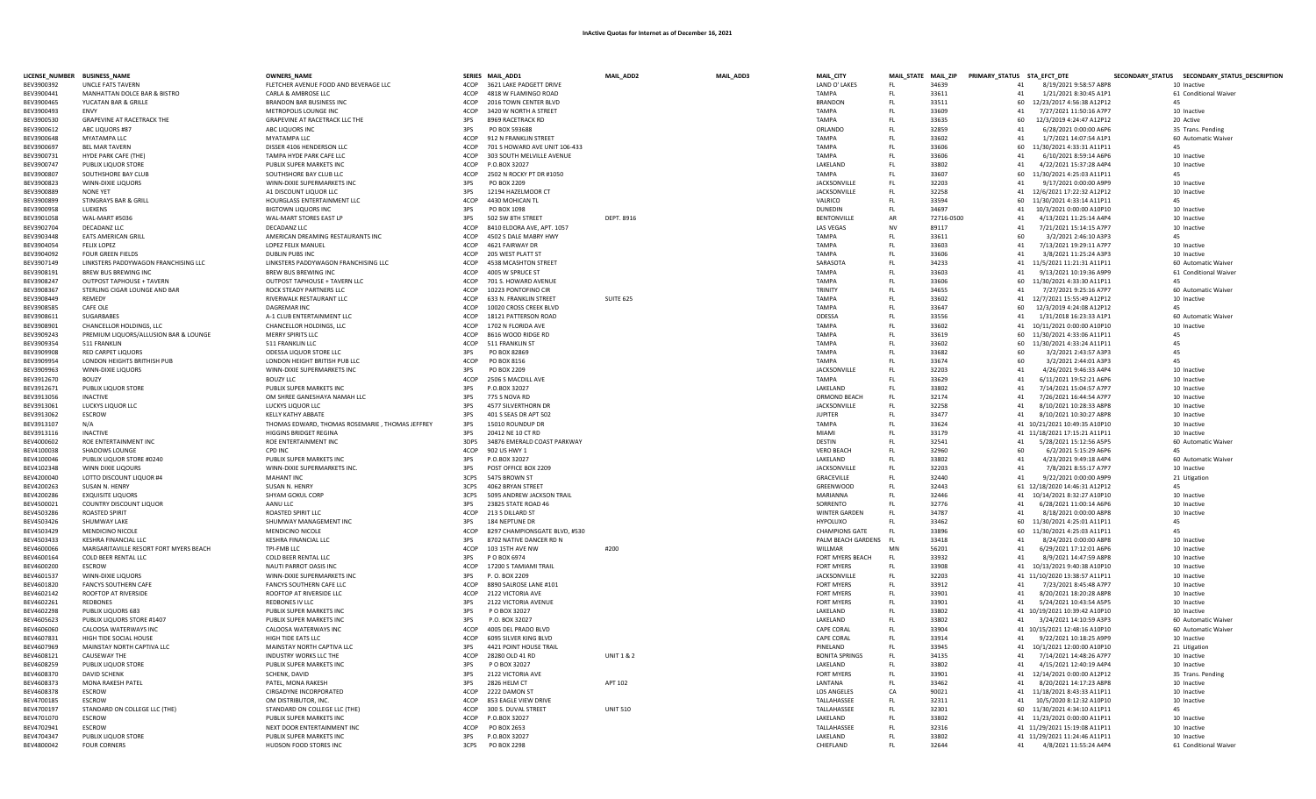| LICENSE_NUMBER BUSINESS_NAME |                                                  | <b>OWNERS_NAME</b>                                   |              | SERIES MAIL_ADD1                               | MAIL_ADD2             | MAIL_ADD3 | MAIL_CITY                         |            |                | MAIL_STATE MAIL_ZIP PRIMARY_STATUS STA_EFCT_DTE |                                                          | SECONDARY_STATUS SECONDARY_STATUS_DESCRIPTION |
|------------------------------|--------------------------------------------------|------------------------------------------------------|--------------|------------------------------------------------|-----------------------|-----------|-----------------------------------|------------|----------------|-------------------------------------------------|----------------------------------------------------------|-----------------------------------------------|
| BEV3900392                   | <b>UNCLE FATS TAVERN</b>                         | FLETCHER AVENUE FOOD AND BEVERAGE LLC                | 4COP         | 3621 LAKE PADGETT DRIVE                        |                       |           | LAND O' LAKES                     | -FL        | 34639          | 41                                              | 8/19/2021 9:58:57 A8P8                                   | 10 Inactive                                   |
| BEV3900441                   | MANHATTAN DOLCE BAR & BISTRO                     | CARLA & AMBROSE LLC                                  | ACOP         | 4818 W FLAMINGO ROAD                           |                       |           | ΤΔΜΡΔ                             | FL         | 33611          | 41                                              | 1/21/2021 8:30:45 A1P1                                   | 61 Conditional Waiver                         |
| BFV3900465                   | YUCATAN BAR & GRILLE                             | BRANDON BAR BUSINESS INC                             | 4COP         | 2016 TOWN CENTER BLVD                          |                       |           | <b>BRANDOM</b>                    | -FL        | 33511          | 60                                              | 12/23/2017 4:56:38 A12P12                                | 45                                            |
| BEV3900493                   | <b>FNVY</b>                                      | METROPOLIS LOUNGE INC                                | 4COP         | 3420 W NORTH A STREET                          |                       |           | <b>TAMPA</b>                      | -FL        | 33609          | 41                                              | 7/27/2021 11:50:16 A7P7                                  | 10 Inactive                                   |
| BFV3900530                   | <b>GRAPEVINE AT RACETRACK THE</b>                | <b>GRAPFVINE AT RACETRACK LLC THE</b>                | 3PS          | 8969 RACETRACK RD                              |                       |           | <b>TAMPA</b>                      | FL         | 33635          | 60                                              | 12/3/2019 4:24:47 A12P12                                 | 20 Active                                     |
| BEV3900612                   | ABC LIQUORS #87                                  | ABC LIQUORS INC                                      | 3PS          | PO BOX 593688                                  |                       |           | ORLANDO                           | -FL        | 32859          | 41                                              | 6/28/2021 0:00:00 A6P6                                   | 35 Trans. Pending                             |
| BEV3900648                   | MYATAMPA IIC                                     | MYATAMPA LLC                                         | 4COP         | 912 N FRANKLIN STREET                          |                       |           | <b>TAMPA</b>                      | FL         | 33602          | 41                                              | 1/7/2021 14:07:54 A1P1                                   | 60 Automatic Waiver                           |
| BEV3900697                   | <b>BEL MAR TAVERN</b>                            | DISSER 4106 HENDERSON LLC                            | 4COP<br>4COP | 701 S HOWARD AVE UNIT 106-433                  |                       |           | TAMPA<br><b>TAMPA</b>             | FL         | 33606<br>33606 | 41                                              | 60 11/30/2021 4:33:31 A11P11<br>6/10/2021 8:59:14 A6P6   | 45                                            |
| BEV3900731<br>BEV3900747     | HYDE PARK CAFE (THE)<br>PUBLIX LIQUOR STORE      | TAMPA HYDE PARK CAFE LLC<br>PUBLIX SUPER MARKETS INC | 4COP         | 303 SOUTH MELVILLE AVENUE<br>P.O.BOX 32027     |                       |           | LAKELAND                          | FL.<br>FL  | 33802          | 41                                              | 4/22/2021 15:37:28 A4P4                                  | 10 Inactive<br>10 Inactive                    |
| BEV3900807                   | SOUTHSHORE BAY CLUB                              | SOUTHSHORE BAY CLUB LLC                              | 4COP         | 2502 N ROCKY PT DR #1050                       |                       |           | <b>TAMPA</b>                      | FL.        | 33607          | 60                                              | 11/30/2021 4:25:03 A11P11                                | 45                                            |
| BEV3900823                   | WINN-DIXIE LIQUORS                               | WINN-DIXIE SUPERMARKETS INC                          | 3PS          | PO BOX 2209                                    |                       |           | JACKSONVILLE                      | FL         | 32203          | 41                                              | 9/17/2021 0:00:00 A9P9                                   | 10 Inactive                                   |
| BEV3900889                   | NONE YET                                         | A1 DISCOUNT LIQUOR LLC                               | 3PS          | 12194 HAZELMOOR CT                             |                       |           | JACKSONVILLE                      | FL         | 32258          |                                                 | 41 12/6/2021 17:22:32 A12P12                             | 10 Inactive                                   |
| BEV3900899                   | STINGRAYS BAR & GRILL                            | HOURGLASS ENTERTAINMENT LLC                          | 4COP         | 4430 MOHICAN TL                                |                       |           | VALRICO                           | FL         | 33594          |                                                 | 60 11/30/2021 4:33:14 A11P11                             | 45                                            |
| BEV3900958                   | LUEKENS                                          | <b>BIGTOWN LIQUORS INC</b>                           | 3PS          | PO BOX 1098                                    |                       |           | <b>DUNEDIN</b>                    | FL.        | 34697          | 41                                              | 10/3/2021 0:00:00 A10P10                                 | 10 Inactive                                   |
| BFV3901058                   | WAI-MART #5036                                   | WAL-MART STORES EAST LP                              | 3PS          | 502 SW 8TH STREET                              | <b>DFPT, 8916</b>     |           | <b>BENTONVILLE</b>                | AR         | 72716-0500     | 41                                              | 4/13/2021 11:25:14 A4P4                                  | 10 Inactive                                   |
| BEV3902704                   | DECADANZ LLC                                     | DECADANZ LLC                                         | 4COP         | 8410 ELDORA AVE, APT, 1057                     |                       |           | <b>LAS VEGAS</b>                  | <b>NV</b>  | 89117          | 41                                              | 7/21/2021 15:14:15 A7P7                                  | 10 Inactive                                   |
| BFV3903448                   | <b>FATS AMERICAN GRILL</b>                       | AMERICAN DREAMING RESTAURANTS INC                    | 4COP         | 4502 S DAI F MARRY HWY                         |                       |           | <b>TAMPA</b>                      | FL.        | 33611          | 60                                              | 3/2/2021 2:46:10 A3P3                                    | 45                                            |
| BEV3904054                   | <b>FELIX LOPEZ</b>                               | <b>LOPEZ FELIX MANUEL</b>                            | 4COP         | 4621 FAIRWAY DR                                |                       |           | TAMPA                             | FL.        | 33603          | 41                                              | 7/13/2021 19:29:11 A7P7                                  | 10 Inactive                                   |
| BEV3904092                   | <b>FOUR GREEN FIELDS</b>                         | DUBLIN PUBS INC                                      | 4COP         | 205 WEST PLATT ST                              |                       |           | <b>TAMPA</b>                      | FL.        | 33606          | 41                                              | 3/8/2021 11:25:24 A3P3                                   | 10 Inactive                                   |
| BEV3907149                   | LINKSTERS PADDYWAGON FRANCHISING LLC             | LINKSTERS PADDYWAGON FRANCHISING LLC                 | 4COP         | 4538 MCASHTON STREET                           |                       |           | SARASOTA                          | FL         | 34233          |                                                 | 41 11/5/2021 11:21:31 A11P11                             | 60 Automatic Waiver                           |
| BEV3908191                   | <b>BREW BUS BREWING INC</b>                      | <b>BREW BUS BREWING INC</b>                          | 4COP         | 4005 W SPRUCE ST                               |                       |           | <b>TAMPA</b>                      | FL         | 33603          | 41                                              | 9/13/2021 10:19:36 A9P9                                  | 61 Conditional Waiver                         |
| BEV3908247                   | <b>OUTPOST TAPHOUSE + TAVERN</b>                 | OUTPOST TAPHOUSE + TAVERN LLC                        | 4COP         | 701 S. HOWARD AVENUE                           |                       |           | <b>TAMPA</b>                      | FL         | 33606          |                                                 | 60 11/30/2021 4:33:30 A11P11                             |                                               |
| BEV3908367                   | STERLING CIGAR LOUNGE AND BAR                    | ROCK STEADY PARTNERS LLC                             | 4COP         | 10223 PONTOFINO CIR                            |                       |           | <b>TRINITY</b>                    | FL         | 34655          | 41                                              | 7/27/2021 9:25:16 A7P                                    | 60 Automatic Waiver                           |
| BEV3908449                   | REMEDY                                           | RIVERWALK RESTAURANT LLC                             | 4COP         | 633 N. FRANKLIN STREET                         | <b>SUITE 625</b>      |           | <b>TAMPA</b>                      | FL         | 33602          |                                                 | 41 12/7/2021 15:55:49 A12P12                             | 10 Inactive                                   |
| BEV3908585<br>BEV3908611     | CAFE OLE<br>SUGARBABES                           | <b>DAGREMAR INC</b><br>A-1 CLUB ENTERTAINMENT LLC    | 4COP<br>4COP | 10020 CROSS CREEK BLVD<br>18121 PATTERSON ROAD |                       |           | <b>TAMPA</b><br><b>ODESSA</b>     | FL<br>FL   | 33647<br>33556 | 60<br>41                                        | 12/3/2019 4:24:08 A12P12<br>1/31/2018 16:23:33 A1P1      | 45<br>60 Automatic Waiver                     |
| BEV3908901                   | CHANCELLOR HOLDINGS, LLC                         | CHANCELLOR HOLDINGS, LLC                             | 4COP         | 1702 N FLORIDA AVE                             |                       |           | <b>TAMPA</b>                      | -FL        | 33602          |                                                 | 41 10/11/2021 0:00:00 A10P10                             | 10 Inactive                                   |
| BEV3909243                   | PREMIUM LIQUORS/ALLUSION BAR & LOUNGE            | MERRY SPIRITS LLC                                    | 4COP         | 8616 WOOD RIDGE RD                             |                       |           | <b>TAMPA</b>                      | FL         | 33619          |                                                 | 60 11/30/2021 4:33:06 A11P11                             | 45                                            |
| BFV3909354                   | 511 FRANKLIN                                     | 511 FRANKLIN LLC                                     | 4COP         | 511 FRANKLIN ST                                |                       |           | <b>TAMPA</b>                      | -FL        | 33602          |                                                 | 60 11/30/2021 4:33:24 A11P11                             | 45                                            |
| BEV3909908                   | <b>RED CARPET LIQUORS</b>                        | ODESSA LIQUOR STORE LLC                              | 3PS          | PO BOX 82869                                   |                       |           | TAMPA                             | FL         | 33682          | 60                                              | 3/2/2021 2:43:57 A3P3                                    | 45                                            |
| BEV3909954                   | LONDON HEIGHTS BRITHISH PUB                      | LONDON HEIGHT BRITISH PUB LLC                        | 4COP         | PO BOX 8156                                    |                       |           | <b>TAMPA</b>                      | FL         | 33674          | 60                                              | 3/2/2021 2:44:01 A3P3                                    | 45                                            |
| BEV3909963                   | WINN-DIXIE LIQUORS                               | WINN-DIXIE SUPERMARKETS INC                          | 3PS          | PO BOX 2209                                    |                       |           | JACKSONVILLE                      | FL         | 32203          | 41                                              | 4/26/2021 9:46:33 A4P4                                   | 10 Inactive                                   |
| BEV3912670                   | <b>BOUZY</b>                                     | <b>BOUZY LLC</b>                                     | 4COP         | 2506 S MACDILL AVE                             |                       |           | <b>TAMPA</b>                      | FL         | 33629          | 41                                              | 6/11/2021 19:52:21 A6P6                                  | 10 Inactive                                   |
| BEV3912671                   | PUBLIX LIQUOR STORE                              | PUBLIX SUPER MARKETS INC                             | 3PS          | P.O.BOX 32027                                  |                       |           | LAKELAND                          | FL         | 33802          | 41                                              | 7/14/2021 15:04:57 A7P7                                  | 10 Inactive                                   |
| BEV3913056                   | <b>INACTIVE</b>                                  | OM SHREE GANESHAYA NAMAH LLC                         | 3PS          | 775 S NOVA RD                                  |                       |           | ORMOND BEACH                      | FL         | 32174          | 41                                              | 7/26/2021 16:44:54 A7P7                                  | 10 Inactive                                   |
| BEV3913061                   | LUCKYS LIQUOR LLC                                | LUCKYS LIQUOR LLC                                    | 3PS          | 4577 SILVERTHORN DR                            |                       |           | JACKSONVILLE                      | FL         | 32258          | 41                                              | 8/10/2021 10:28:33 A8P8                                  | 10 Inactive                                   |
| BEV3913062                   | ESCROW                                           | KELLY KATHY ABBATE                                   | 3PS          | 401 S SEAS DR APT 502                          |                       |           | <b>JUPITER</b>                    | FL         | 33477          | 41                                              | 8/10/2021 10:30:27 A8P8                                  | 10 Inactive                                   |
| BEV3913107                   | N/A                                              | THOMAS EDWARD, THOMAS ROSEMARIE, THOMAS JEFFREY      | 3PS          | 15010 ROUNDUP DR                               |                       |           | <b>TAMPA</b>                      | FL         | 33624          |                                                 | 41 10/21/2021 10:49:35 A10P10                            | 10 Inactive                                   |
| BEV3913116                   | <b>INACTIVE</b>                                  | HIGGINS BRIDGET REGINA                               | 3PS          | 20412 NF 10 CT RD                              |                       |           | <b>MIAMI</b>                      | FL         | 33179          |                                                 | 41 11/18/2021 17:15:21 A11P11                            | 10 Inactive                                   |
| BFV4000602                   | ROE ENTERTAINMENT INC                            | ROE ENTERTAINMENT INC                                | 3DPS         | 34876 EMERALD COAST PARKWAY                    |                       |           | <b>DESTIN</b>                     | FL.        | 32541          | 41                                              | 5/28/2021 15:12:56 A5P5                                  | 60 Automatic Waiver                           |
| BEV4100038                   | SHADOWS LOUNGE                                   | <b>CPD INC</b>                                       | 4COP         | 902 US HWY 1                                   |                       |           | <b>VERO BEACH</b>                 | FL         | 32960          | 60                                              | 6/2/2021 5:15:29 A6P6                                    | 45                                            |
| BFV4100046                   | PUBLIX LIQUOR STORE #0240                        | PUBLIX SUPER MARKETS INC                             | 3PS          | P.O.BOX 32027                                  |                       |           | <b>I AKFI AND</b>                 | EL.        | 33802          | 41                                              | 4/23/2021 9:49:18 A4P4                                   | 60 Automatic Waiver                           |
| BEV4102348<br>BEV4200040     | WINN DIXIE LIQOURS<br>LOTTO DISCOUNT LIQUOR #4   | WINN-DIXIE SUPERMARKETS INC<br><b>MAHANT INC</b>     | 3PS<br>3CPS  | POST OFFICE BOX 2209<br>5475 BROWN ST          |                       |           | <b>JACKSONVILLE</b><br>GRACEVILLE | FL.<br>FL. | 32203<br>32440 | 41<br>41                                        | 7/8/2021 8:55:17 A7P7<br>9/22/2021 0:00:00 A9P9          | 10 Inactive                                   |
| BEV4200263                   | <b>SUSAN N. HENRY</b>                            | SUSAN N. HENRY                                       | 3CPS         | 4062 BRYAN STREET                              |                       |           | GREENWOOD                         | FL.        | 32443          |                                                 | 61 12/18/2020 14:46:31 A12P12                            | 21 Litigation<br>45                           |
| BEV4200286                   | <b>EXQUISITE LIQUORS</b>                         | SHYAM GOKUL CORP                                     | 3CPS         | 5095 ANDREW JACKSON TRAIL                      |                       |           | MARIANNA                          | FL.        | 32446          |                                                 | 41 10/14/2021 8:32:27 A10P10                             | 10 Inactive                                   |
| BEV4500021                   | <b>COUNTRY DISCOUNT LIQUOR</b>                   | AANU LLC                                             | 3PS          | 23825 STATE ROAD 46                            |                       |           | SORRENTO                          | FL.        | 32776          | 41                                              | 6/28/2021 11:00:14 A6P6                                  | 10 Inactive                                   |
| BEV4503286                   | ROASTED SPIRIT                                   | ROASTED SPIRIT LLC                                   | 4COP         | 213 S DILLARD ST                               |                       |           | <b>WINTER GARDEN</b>              | FL         | 34787          | 41                                              | 8/18/2021 0:00:00 A8P8                                   | 10 Inactive                                   |
| BEV4503426                   | SHUMWAY LAKE                                     | SHUMWAY MANAGEMENT INC                               | 3PS          | 184 NEPTUNE DR                                 |                       |           | <b>HYPOLUXO</b>                   | FL         | 33462          | 60                                              | 11/30/2021 4:25:01 A11P11                                | 45                                            |
| BEV4503429                   | MENDICINO NICOLE                                 | MENDICINO NICOLE                                     | 4COP         | 8297 CHAMPIONSGATE BLVD, #530                  |                       |           | <b>CHAMPIONS GATE</b>             | FL.        | 33896          | 60                                              | 11/30/2021 4:25:03 A11P11                                | 45                                            |
| BEV4503433                   | <b>KESHRA FINANCIAL LLC</b>                      | <b>KESHRA FINANCIAL LLC</b>                          | 3PS          | 8702 NATIVE DANCER RD N                        |                       |           | PALM BEACH GARDENS                | FL         | 33418          | 41                                              | 8/24/2021 0:00:00 A8P8                                   | 10 Inactive                                   |
| BEV4600066                   | MARGARITAVILLE RESORT FORT MYERS BEACH           | TPI-FMB LLC                                          | 4COP         | 103 15TH AVE NW                                | #200                  |           | WILLMAR                           | MN         | 56201          | 41                                              | 6/29/2021 17:12:01 A6P6                                  | 10 Inactive                                   |
| BEV4600164                   | COLD BEER RENTAL LLC                             | COLD BEER RENTAL LLC                                 | 3PS          | P O BOX 6974                                   |                       |           | FORT MYERS BEACH                  | FL.        | 33932          | 41                                              | 8/9/2021 14:47:59 A8P8                                   | 10 Inactive                                   |
| BEV4600200                   | <b>FSCROW</b>                                    | NAUTI PARROT OASIS INC                               | 4COP         | 17200 S TAMIAMI TRAIL                          |                       |           | <b>FORT MYERS</b>                 | -FL        | 33908          |                                                 | 41 10/13/2021 9:40:38 A10P10                             | 10 Inactive                                   |
| BFV4601537                   | WINN-DIXIF LIQUORS                               | WINN-DIXIE SUPERMARKETS INC                          | 3PS          | P. O. BOX 2209                                 |                       |           | JACKSONVILLE                      | FL.        | 32203          |                                                 | 41 11/10/2020 13:38:57 A11P11                            | 10 Inactive                                   |
| BEV4601820                   | <b>FANCYS SOUTHERN CAFE</b>                      | <b>FANCYS SOUTHERN CAFE LLC</b>                      | 4COP         | 8890 SALROSE LANE #101                         |                       |           | FORT MYERS                        | FL         | 33912          | 41                                              | 7/23/2021 8:45:48 A7P7                                   | 10 Inactive                                   |
| BEV4602142                   | <b>ROOFTOP AT RIVERSIDE</b>                      | ROOFTOP AT RIVERSIDE LLC                             | 4COP         | 2122 VICTORIA AVE                              |                       |           | FORT MYERS                        | FL.        | 33901          | 41                                              | 8/20/2021 18:20:28 A8PS                                  | 10 Inactive                                   |
| BEV4602261                   | REDBONES                                         | REDBONES IV LLC                                      | 3PS          | 2122 VICTORIA AVENUE                           |                       |           | <b>FORT MYERS</b>                 | FL         | 33901          | 41                                              | 5/24/2021 10:43:54 A5P5                                  | 10 Inactive                                   |
| BEV4602298<br>BEV4605623     | PUBLIX LIQUORS 683<br>PUBLIX LIQUORS STORE #1407 | PUBLIX SUPER MARKETS INC                             | 3PS          | P O BOX 32027                                  |                       |           | LAKELAND                          | FL         | 33802<br>33802 |                                                 | 41 10/19/2021 10:39:42 A10P10                            | 10 Inactive                                   |
| BEV4606060                   | CALOOSA WATERWAYS INC                            | PUBLIX SUPER MARKETS INC<br>CALOOSA WATERWAYS INC    | 3PS<br>4COP  | P.O. BOX 32027<br>4005 DEL PRADO BLVD          |                       |           | LAKELAND<br>CAPE CORAL            | FL<br>FL   | 33904          | 41                                              | 3/24/2021 14:10:59 A3P3<br>41 10/15/2021 12:48:16 A10P10 | 60 Automatic Waiver<br>60 Automatic Waiver    |
| BEV4607831                   | HIGH TIDE SOCIAL HOUSE                           | HIGH TIDE EATS LLC                                   | 4COP         | 6095 SILVER KING BLVD                          |                       |           | <b>CAPE CORAL</b>                 | FL         | 33914          | 41                                              | 9/22/2021 10:18:25 A9P9                                  | 10 Inactive                                   |
| BEV4607969                   | MAINSTAY NORTH CAPTIVA LLC                       | MAINSTAY NORTH CAPTIVA LLC                           | 3PS          | 4421 POINT HOUSE TRAIL                         |                       |           | PINELAND                          | FL         | 33945          |                                                 | 41 10/1/2021 12:00:00 A10P10                             | 21 Litigation                                 |
| BEV4608121                   | <b>CAUSEWAY THE</b>                              | INDUSTRY WORKS LLC THE                               | 4COP         | 28280 OLD 41 RD                                | <b>UNIT 1 &amp; 2</b> |           | <b>BONITA SPRINGS</b>             | FL.        | 34135          | 41                                              | 7/14/2021 14:48:26 A7P7                                  | 10 Inactive                                   |
| BEV4608259                   | PUBLIX LIQUOR STORE                              | PUBLIX SUPER MARKETS INC                             | 3PS          | P O BOX 32027                                  |                       |           | LAKELAND                          | FL.        | 33802          | 41                                              | 4/15/2021 12:40:19 A4P4                                  | 10 Inactive                                   |
| BEV4608370                   | <b>DAVID SCHENK</b>                              | SCHENK, DAVID                                        | 3PS          | 2122 VICTORIA AVE                              |                       |           | <b>FORT MYERS</b>                 | FL.        | 33901          |                                                 | 41 12/14/2021 0:00:00 A12P12                             | 35 Trans. Pending                             |
| BEV4608373                   | <b>MONA RAKESH PATEI</b>                         | PATEL, MONA RAKESH                                   | 3PS          | 2826 HELM CT                                   | APT 102               |           | <b>I ANTANA</b>                   | FL.        | 33462          | 41                                              | 8/20/2021 14:17:23 A8P8                                  | 10 Inactive                                   |
| BFV4608378                   | <b>FSCROW</b>                                    | <b>CIRGADYNE INCORPORATED</b>                        | 4COP         | 2222 DAMON ST                                  |                       |           | <b>LOS ANGELES</b>                | CA         | 90021          |                                                 | 41 11/18/2021 8:43:33 A11P11                             | 10 Inactive                                   |
| BEV4700185                   | <b>ESCROW</b>                                    | OM DISTRIBUTOR, INC.                                 | 4COP         | 853 EAGLE VIEW DRIVE                           |                       |           | TALLAHASSEE                       | FL.        | 32311          |                                                 | 41 10/5/2020 8:12:32 A10P10                              | 10 Inactive                                   |
| BEV4700197                   | STANDARD ON COLLEGE LLC (THE)                    | STANDARD ON COLLEGE LLC (THE)                        | 4COP         | 300 S. DUVAL STREET                            | <b>UNIT 510</b>       |           | TALLAHASSEE                       | FL.        | 32301          |                                                 | 60 11/30/2021 4:34:10 A11P11                             | 45                                            |
| BEV4701070                   | <b>ESCROW</b>                                    | PUBLIX SUPER MARKETS INC                             | 4COP         | P.O.BOX 32027                                  |                       |           | LAKELAND                          | FL         | 33802          |                                                 | 41 11/23/2021 0:00:00 A11P11                             | 10 Inactive                                   |
| BEV4702941                   | <b>ESCROW</b>                                    | NEXT DOOR ENTERTAINMENT INC                          | 4COP         | PO BOX 2653                                    |                       |           | TALLAHASSEE                       | FL         | 32316          |                                                 | 41 11/29/2021 15:19:08 A11P11                            | 10 Inactive                                   |
| BEV4704347                   | PUBLIX LIQUOR STORE                              | PUBLIX SUPER MARKETS INC                             | 3PS          | P.O.BOX 32027                                  |                       |           | LAKELAND                          | FL         | 33802          |                                                 | 41 11/29/2021 11:24:46 A11P11                            | 10 Inactive                                   |
| BEV4800042                   | <b>FOUR CORNERS</b>                              | HUDSON FOOD STORES INC                               | 3CPS         | PO BOX 2298                                    |                       |           | CHIEFLAND                         |            | 32644          |                                                 | 41 4/8/2021 11:55:24 A4P4                                | 61 Conditional Waiver                         |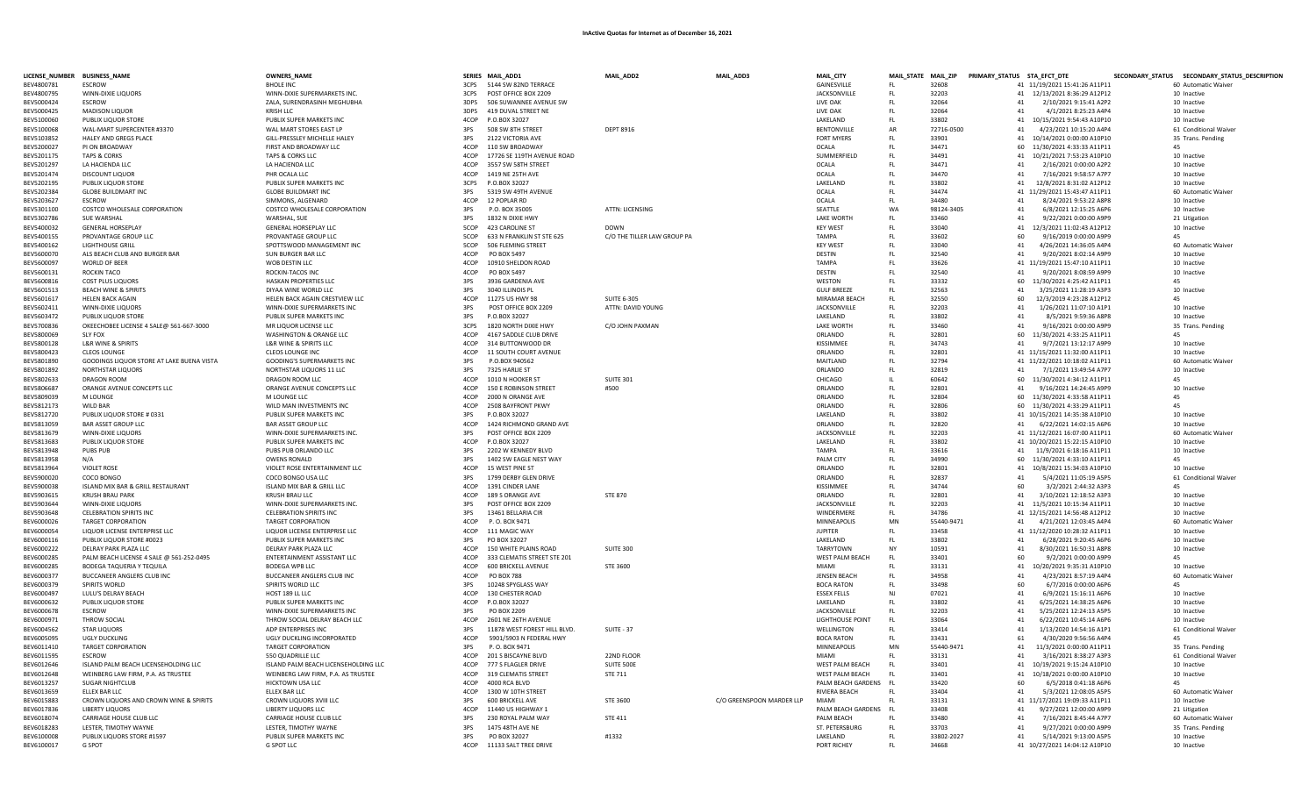| LICENSE_NUMBER BUSINESS_NAME |                                                                   | <b>OWNERS_NAME</b>                                              |              | SERIES MAIL_ADD1              | MAIL_ADD2                   | MAIL_ADD3                 | MAIL_CITY                     |                 | MAIL_STATE MAIL_ZIP PRIMARY_STATUS STA_EFCT_DTE |                                                             | SECONDARY_STATUS SECONDARY_STATUS_DESCRIPTION |
|------------------------------|-------------------------------------------------------------------|-----------------------------------------------------------------|--------------|-------------------------------|-----------------------------|---------------------------|-------------------------------|-----------------|-------------------------------------------------|-------------------------------------------------------------|-----------------------------------------------|
| BEV4800781                   | <b>FSCROW</b>                                                     | <b>BHOLE INC</b>                                                |              | 3CPS 5144 SW 82ND TERRACE     |                             |                           | GAINESVILLE                   | FL.             | 32608                                           | 41 11/19/2021 15:41:26 A11P11                               | 60 Automatic Waiver                           |
| BEV4800795                   | WINN-DIXIE LIQUORS                                                | WINN-DIXIE SUPERMARKETS INC.                                    | 3CPS         | POST OFFICE BOX 2209          |                             |                           | <b>JACKSONVILLE</b>           | FL.             | 32203                                           | 41 12/13/2021 8:36:29 A12P12                                | 10 Inactive                                   |
| BEV5000424                   | ESCROW                                                            | ZALA, SURENDRASINH MEGHUBHA                                     | 3DPS         | 506 SUWANNEE AVENUE SW        |                             |                           | LIVE OAK                      | FL.             | 32064                                           | 41<br>2/10/2021 9:15:41 A2P2                                | 10 Inactive                                   |
| BEV5000425                   | <b>MADISON LIQUOR</b>                                             | KRISH LLC                                                       | 3DPS         | 419 DUVAL STREET NE           |                             |                           | LIVE OAK                      | FL              | 32064                                           | 41<br>4/1/2021 8:25:23 A4P4                                 | 10 Inactive                                   |
| BEV5100060                   | PUBLIX LIQUOR STORE                                               | PUBLIX SUPER MARKETS INC                                        | 4COP         | P.O.BOX 32027                 |                             |                           | LAKELAND                      | FL              | 33802                                           | 41 10/15/2021 9:54:43 A10P10                                | 10 Inactive                                   |
| BEV5100068                   | WAL-MART SUPERCENTER #3370                                        | WAL MART STORES EAST LP                                         | 3PS          | 508 SW 8TH STREET             | <b>DEPT 8916</b>            |                           | <b>BENTONVILLE</b>            | AR              | 72716-0500                                      | 41<br>4/23/2021 10:15:20 A4P4                               | 61 Conditional Waiver                         |
| BEV5103852                   | HALEY AND GREGS PLACE                                             | GILL-PRESSLEY MICHELLE HALEY                                    | 3PS          | 2122 VICTORIA AVE             |                             |                           | <b>FORT MYERS</b>             | FL              | 33901                                           | 41 10/14/2021 0:00:00 A10P10                                | 35 Trans. Pending                             |
| BEV5200027                   | PI ON BROADWAY                                                    | FIRST AND BROADWAY LLC                                          | 4COP         | 110 SW BROADWAY               |                             |                           | <b>OCALA</b>                  | FL              | 34471                                           | 60 11/30/2021 4:33:33 A11P11                                | 45                                            |
| BEV5201175                   | <b>TAPS &amp; CORKS</b>                                           | TAPS & CORKS LLC                                                | 4COP         | 17726 SE 119TH AVENUE ROAD    |                             |                           | SUMMERFIELD                   | FL              | 34491                                           | 41 10/21/2021 7:53:23 A10P10                                | 10 Inactive                                   |
| BEV5201297                   | LA HACIENDA LLC                                                   | LA HACIENDA LLC                                                 | 4COP         | 3557 SW 58TH STREET           |                             |                           | <b>OCALA</b>                  | FL              | 34471                                           | 41<br>2/16/2021 0:00:00 A2P2                                | 10 Inactive                                   |
| BEV5201474                   | DISCOUNT LIQUOR                                                   | PHR OCALA LLC                                                   | 4COP         | 1419 NE 25TH AVE              |                             |                           | OCALA                         | FL              | 34470                                           | 41<br>7/16/2021 9:58:57 A7P7                                | 10 Inactive                                   |
| BEV5202195                   | PUBLIX LIQUOR STORE                                               | PUBLIX SUPER MARKETS INC                                        | 3CPS         | P.O.BOX 32027                 |                             |                           | LAKELAND                      | FL              | 33802                                           | 41 12/8/2021 8:31:02 A12P12                                 | 10 Inactive                                   |
| BEV5202384                   | <b>GLOBE BUILDMART INC</b>                                        | <b>GLOBE BUILDMART INC</b>                                      | 3PS          | 5319 SW 49TH AVENUE           |                             |                           | <b>OCALA</b>                  | FL              | 34474                                           | 41 11/29/2021 15:43:47 A11P11                               | 60 Automatic Waiver                           |
| BFV5203627                   | <b>FSCROW</b>                                                     | SIMMONS, ALGENARD                                               | 4COP         | 12 POPLAR RD                  |                             |                           | OCALA                         | F1              | 34480                                           | 41<br>8/24/2021 9:53:22 A8P8                                | 10 Inactive                                   |
| BEV5301100                   | COSTCO WHOLESALE CORPORATION                                      | COSTCO WHOLESALE CORPORATION                                    | 3PS          | P.O. BOX 35005                | ATTN: LICENSING             |                           | SEATTLE                       | WA              | 98124-3405                                      | 41<br>6/8/2021 12:15:25 A6P6                                | 10 Inactive                                   |
| BEV5302786                   | SUE WARSHAL                                                       | WARSHAL, SUE                                                    | 3PS          | 1832 N DIXIE HWY              |                             |                           | <b>LAKE WORTH</b>             | FL.             | 33460                                           | 41<br>9/22/2021 0:00:00 A9P9                                | 21 Litigation                                 |
| BEV5400032                   | <b>GENERAL HORSEPLAY</b>                                          | GENERAL HORSEPLAY LLC                                           | 5COP         | 423 CAROLINE ST               | <b>DOWN</b>                 |                           | <b>KEY WEST</b>               | FL              | 33040                                           | 41 12/3/2021 11:02:43 A12P12                                | 10 Inactive                                   |
| BEV5400155                   | PROVANTAGE GROUP LLC                                              | PROVANTAGE GROUP LLC                                            | 5COP         | 633 N FRANKLIN ST STE 625     | C/O THE TILLER LAW GROUP PA |                           | <b>TAMPA</b>                  | FL              | 33602                                           | 60<br>9/16/2019 0:00:00 A9P9                                | 45                                            |
| BEV5400162                   | <b>LIGHTHOUSE GRILL</b>                                           | SPOTTSWOOD MANAGEMENT INC                                       | 5COP         | 506 FLEMING STREET            |                             |                           | <b>KEY WEST</b>               | FL              | 33040                                           | 41<br>4/26/2021 14:36:05 A4P4                               | 60 Automatic Waiver                           |
| BEV5600070                   | ALS BEACH CLUB AND BURGER BAR                                     | SUN BURGER BAR LLC                                              | 4COP         | PO BOX 5497                   |                             |                           | <b>DESTIN</b>                 | FL              | 32540                                           | 41<br>9/20/2021 8:02:14 A9P9                                | 10 Inactive                                   |
| BEV5600097                   | WORLD OF BEER                                                     | WOB DESTIN LLC                                                  | 4COP         | 10910 SHELDON ROAD            |                             |                           | <b>TAMPA</b>                  | FL              | 33626                                           | 41 11/19/2021 15:47:10 A11P11                               | 10 Inactive                                   |
| BEV5600131                   | ROCKIN TACO                                                       | ROCKIN-TACOS INC                                                | 4COP         | PO BOX 5497                   |                             |                           | <b>DESTIN</b>                 | FL              | 32540                                           | 41<br>9/20/2021 8:08:59 A9P9                                | 10 Inactive                                   |
| BEV5600816                   | <b>COST PLUS LIQUORS</b>                                          | HASKAN PROPERTIES LLC                                           | 3PS          | 3936 GARDENIA AVE             |                             |                           | WESTON                        | FL              | 33332                                           | 60 11/30/2021 4:25:42 A11P11                                | 45                                            |
| BEV5601513                   | <b>BEACH WINE &amp; SPIRITS</b>                                   | DIYAA WINE WORLD LLC                                            | 3PS          | 3040 ILLINOIS PL              |                             |                           | <b>GULF BREEZE</b>            | FL              | 32563                                           | 41<br>3/25/2021 11:28:19 A3P3                               | 10 Inactive                                   |
| BEV5601617                   | HELEN BACK AGAIN                                                  | HELEN BACK AGAIN CRESTVIEW LLC                                  | 4COP         | 11275 US HWY 98               | <b>SUITE 6-305</b>          |                           | MIRAMAR BEACH                 | FL              | 32550                                           | 60<br>12/3/2019 4:23:28 A12P12                              | 45                                            |
| BEV5602411                   | WINN-DIXIF LIQUORS                                                | WINN-DIXIE SUPERMARKETS INC                                     | 3PS          | POST OFFICE BOX 2209          | ATTN: DAVID YOUNG           |                           | <b>JACKSONVILLE</b>           | FL              | 32203                                           | 1/26/2021 11:07:10 A1P1<br>41                               | 10 Inactive                                   |
| BEV5603472                   | PUBLIX LIQUOR STORE                                               | PUBLIX SUPER MARKETS INC                                        | 3PS          | P.O.BOX 32027                 |                             |                           | LAKELAND                      | FL              | 33802                                           | 41<br>8/5/2021 9:59:36 A8P8                                 | 10 Inactive                                   |
| BEV5700836                   | OKEECHOBEE LICENSE 4 SALE@ 561-667-3000                           | MR LIQUOR LICENSE LLC                                           | 3CPS         | 1820 NORTH DIXIE HWY          | C/O JOHN PAXMAN             |                           | <b>LAKE WORTH</b>             | FL              | 33460                                           | 41<br>9/16/2021 0:00:00 A9P9                                | 35 Trans. Pending                             |
| BEV5800069                   | <b>SLY FOX</b>                                                    | WASHINGTON & ORANGE LLC                                         | 4COP         | 4167 SADDLE CLUB DRIVE        |                             |                           | ORLANDO                       | FL              | 32801                                           | 60 11/30/2021 4:33:25 A11P11                                | 45                                            |
| BEV5800128                   | L&R WINE & SPIRITS                                                | L&R WINE & SPIRITS LLC                                          | 4COP         | 314 BUTTONWOOD DR             |                             |                           | KISSIMMEE                     | FL              | 34743                                           | 41<br>9/7/2021 13:12:17 A9P9                                | 10 Inactive                                   |
| BEV5800423                   | <b>CLEOS LOUNGE</b>                                               | CLEOS LOUNGE INC                                                | 4COP         | 11 SOUTH COURT AVENUE         |                             |                           | ORLANDO                       | FL              | 32801                                           | 41 11/15/2021 11:32:00 A11P11                               | 10 Inactive                                   |
| BEV5801890                   | GOODINGS LIQUOR STORE AT LAKE BUENA VISTA                         | GOODING'S SUPERMARKETS INC                                      | 3PS          | P.O.BOX 940562                |                             |                           | MAITLAND                      | FL              | 32794                                           | 41 11/22/2021 10:18:02 A11P11                               | 60 Automatic Waiver                           |
| BEV5801892                   | NORTHSTAR LIQUORS                                                 | NORTHSTAR LIQUORS 11 LLC                                        | 3PS          | 7325 HARLIE ST                |                             |                           | ORLANDO                       | FL              | 32819                                           | 7/1/2021 13:49:54 A7P7<br>41                                | 10 Inactive                                   |
| BEV5802633                   | DRAGON ROOM                                                       | DRAGON ROOM LLC                                                 | 4COP         | 1010 N HOOKER ST              | <b>SUITE 301</b>            |                           | CHICAGO                       |                 | 60642                                           | 60 11/30/2021 4:34:12 A11P11                                | 45                                            |
| BEV5806687                   | ORANGE AVENUE CONCEPTS LLC                                        | ORANGE AVENUE CONCEPTS LLC                                      | 4COP         | <b>150 E ROBINSON STREET</b>  | #500                        |                           | ORLANDO                       | FL              | 32801                                           | 41 9/16/2021 14:24:45 A9P9                                  | 10 Inactive                                   |
| BEV5809039                   | <b>M LOUNGE</b>                                                   | M LOUNGE LLC                                                    | 4COP         | 2000 N ORANGE AVE             |                             |                           | ORLANDO                       | FL              | 32804                                           | 60 11/30/2021 4:33:58 A11P11                                | 45                                            |
| BEV5812173                   | WII D BAR                                                         | WILD MAN INVESTMENTS INC                                        | 4COP         | 2508 BAYERONT PKWY            |                             |                           | ORI ANDO                      | <b>FL</b>       | 32806                                           | 60 11/30/2021 4:33:29 A11P11                                | 45                                            |
| BEV5812720                   | PUBLIX LIQUOR STORE # 0331                                        | PUBLIX SUPER MARKETS INC                                        | 3PS          | P.O.BOX 32027                 |                             |                           | LAKELAND                      | FL.             | 33802                                           | 41 10/15/2021 14:35:38 A10P10                               | 10 Inactive                                   |
| BFV5813059                   | BAR ASSET GROUP LLC.                                              | BAR ASSET GROUP LLC                                             | 4COP         | 1424 RICHMOND GRAND AVE       |                             |                           | ORI ANDO                      | FI.             | 32820                                           | 41 6/22/2021 14:02:15 A6P6                                  | 10 Inactive                                   |
| BEV5813679                   | WINN-DIXIE LIQUORS                                                | WINN-DIXIE SUPERMARKETS INC.                                    | 3PS          | POST OFFICE BOX 2209          |                             |                           | <b>JACKSONVILLE</b>           | FL              | 32203                                           | 41 11/12/2021 16:07:00 A11P11                               | 60 Automatic Waiver                           |
| BEV5813683                   | PUBLIX LIQUOR STORE                                               | PUBLIX SUPER MARKETS INC                                        | 4COP         | P.O.BOX 32027                 |                             |                           | LAKELAND                      | FL.             | 33802                                           | 41 10/20/2021 15:22:15 A10P10                               | 10 Inactive                                   |
| BEV5813948                   | PUBS PUB                                                          | PUBS PUB ORLANDO LLC                                            | 3PS          | 2202 W KENNEDY BLVD           |                             |                           | <b>TAMPA</b>                  | FL.             | 33616                                           | 41 11/9/2021 6:18:16 A11P11                                 | 10 Inactive                                   |
| BEV5813958                   | N/A                                                               | <b>OWENS RONALD</b>                                             | 3PS          | 1402 SW EAGLE NEST WAY        |                             |                           | PALM CITY                     | FL.             | 34990                                           | 60 11/30/2021 4:33:10 A11P11                                | 45                                            |
| BEV5813964                   | <b>VIOLET ROSE</b>                                                | VIOLET ROSE ENTERTAINMENT LLC                                   | 4COP         | 15 WEST PINE ST               |                             |                           | ORLANDO                       | FL.             | 32801                                           | 41 10/8/2021 15:34:03 A10P10                                | 10 Inactive                                   |
| BEV5900020                   | COCO BONGO                                                        | COCO BONGO USA LLC                                              | 3PS          | 1799 DERBY GLEN DRIVE         |                             |                           | ORLANDO                       | FL.             | 32837                                           | 5/4/2021 11:05:19 A5P5<br>41                                | 61 Conditional Waiver                         |
| BEV5900038                   | ISLAND MIX BAR & GRILL RESTAURANT                                 | ISLAND MIX BAR & GRILL LLC                                      | 4COP         | 1391 CINDER LANE              |                             |                           | KISSIMMEE                     | FL.             | 34744                                           | 60<br>3/2/2021 2:44:32 A3P3                                 | 45                                            |
| BEV5903615                   | <b>KRUSH BRAU PARK</b>                                            | KRUSH BRAU LLC                                                  | 4COP         | 189 S ORANGE AVE              | <b>STE 870</b>              |                           | ORLANDO                       | FL.             | 32801                                           | 41<br>3/10/2021 12:18:52 A3P3                               | 10 Inactive                                   |
| BEV5903644                   | WINN-DIXIE LIQUORS                                                | WINN-DIXIE SUPERMARKETS INC.                                    | 3PS          | POST OFFICE BOX 2209          |                             |                           | <b>JACKSONVILLE</b>           | FL              | 32203                                           | 41 11/5/2021 10:15:34 A11P11                                | 10 Inactive                                   |
| BEV5903648                   | <b>CELEBRATION SPIRITS INC</b>                                    | <b>CELEBRATION SPIRITS INC</b>                                  | 3PS          | 13461 BELLARIA CIR            |                             |                           | WINDERMERE                    | FL.             | 34786                                           | 41 12/15/2021 14:56:48 A12P12                               | 10 Inactive                                   |
| BFV6000026<br>BFV6000054     | <b>TARGET CORPORATION</b><br><b>LIQUOR LICENSE ENTERPRISE LLC</b> | <b>TARGET CORPORATION</b><br><b>HOUOR HCENSE ENTERPRISE LLC</b> | 4COP<br>4COP | P. O. BOX 9471                |                             |                           | MINNEAPOLIS<br><b>IUPITER</b> | MN              | 55440-9471                                      | 41 4/21/2021 12:03:45 A4P4<br>41 11/12/2020 10:28:32 A11P11 | 60 Automatic Waiver                           |
| BEV6000116                   | PUBLIX LIQUOR STORE #0023                                         | PUBLIX SUPER MARKETS INC                                        | 3PS          | 111 MAGIC WAY<br>PO BOX 32027 |                             |                           | LAKELAND                      | FL.             | 33458<br>33802                                  | 41<br>6/28/2021 9:20:45 A6P6                                | 10 Inactive<br>10 Inactive                    |
| BEV6000222                   | DELRAY PARK PLAZA LLC                                             | DELRAY PARK PLAZA LLC                                           | 4COP         | 150 WHITE PLAINS ROAD         | <b>SUITE 300</b>            |                           | <b>TARRYTOWN</b>              | FL<br><b>NY</b> | 10591                                           | 41<br>8/30/2021 16:50:31 A8P8                               | 10 Inactive                                   |
| BEV6000285                   | PALM BEACH LICENSE 4 SALE @ 561-252-0495                          | ENTERTAINMENT ASSISTANT LLC                                     | 4COP         | 333 CLEMATIS STREET STE 201   |                             |                           | <b>WEST PALM BEACH</b>        | FL.             | 33401                                           | 60<br>9/2/2021 0:00:00 A9P9                                 | 45                                            |
| BEV6000285                   | BODEGA TAQUERIA Y TEQUILA                                         | BODEGA WPB LLC                                                  | 4COP         | 600 BRICKELL AVENUE           | STE 3600                    |                           | <b>MIAMI</b>                  | FL              | 33131                                           | 41<br>10/20/2021 9:35:31 A10P10                             | 10 Inactive                                   |
| BEV6000377                   | <b>BUCCANEER ANGLERS CLUB INC</b>                                 | BUCCANEER ANGLERS CLUB INC                                      | 4COP         | <b>PO BOX 788</b>             |                             |                           | <b>JENSEN BEACH</b>           | FL              | 34958                                           | 41<br>4/23/2021 8:57:19 A4P4                                | 60 Automatic Waiver                           |
| BEV6000379                   | SPIRITS WORLD                                                     | SPIRITS WORLD LLC                                               | 3PS          | 10248 SPYGLASS WAY            |                             |                           | <b>BOCA RATON</b>             | FL              | 33498                                           | 60<br>6/7/2016 0:00:00 A6P6                                 | 45                                            |
| BEV6000497                   | LULU'S DELRAY BEACH                                               | HOST 189 LL LLC                                                 | 4COP         | 130 CHESTER ROAD              |                             |                           | <b>ESSEX FELLS</b>            | <b>NJ</b>       | 07021                                           | 41<br>6/9/2021 15:16:11 A6P6                                | 10 Inactive                                   |
| BEV6000632                   | PUBLIX LIQUOR STORE                                               | PUBLIX SUPER MARKETS INC                                        | 4COP         | P.O.BOX 32027                 |                             |                           | LAKELAND                      | FL              | 33802                                           | 41<br>6/25/2021 14:38:25 A6P6                               | 10 Inactive                                   |
| BEV6000678                   | <b>ESCROW</b>                                                     | WINN-DIXIE SUPERMARKETS INC                                     | 3PS          | PO BOX 2209                   |                             |                           | JACKSONVILLE                  | FL              | 32203                                           | 41<br>5/25/2021 12:24:13 A5P5                               | 10 Inactive                                   |
| BEV6000971                   | THROW SOCIAL                                                      | THROW SOCIAL DELRAY BEACH LLC                                   | 4COP         | 2601 NE 26TH AVENUE           |                             |                           | LIGHTHOUSE POINT              | FL              | 33064                                           | 41<br>6/22/2021 10:45:14 A6P6                               | 10 Inactive                                   |
| BEV6004562                   | <b>STAR LIQUORS</b>                                               | ADP ENTERPRISES INC                                             | 3PS          | 11878 WEST FOREST HILL BLVD.  | <b>SUITE - 37</b>           |                           | WELLINGTON                    | - FL            | 33414                                           | 41<br>1/13/2020 14:54:16 A1P1                               | 61 Conditional Waiver                         |
| BEV6005095                   | UGLY DUCKLING                                                     | UGLY DUCKLING INCORPORATED                                      | 4COP         | 5901/5903 N FEDERAL HWY       |                             |                           | <b>BOCA RATON</b>             | FL.             | 33431                                           | 61<br>4/30/2020 9:56:56 A4P4                                | 45                                            |
| BFV6011410                   | <b>TARGET CORPORATION</b>                                         | <b>TARGET CORPORATION</b>                                       | 3PS          | P. O. BOX 9471                |                             |                           | <b>MINNFAPOLIS</b>            | MN              | 55440-9471                                      | 41<br>11/3/2021 0:00:00 A11P11                              | 35 Trans. Pending                             |
| BEV6011595                   | ESCROW                                                            | 550 QUADRILLE LLC                                               | 4COP         | 201 S BISCAYNE BLVD           | 22ND FLOOR                  |                           | <b>MIAMI</b>                  | FL              | 33131                                           | 41<br>3/16/2021 8:38:27 A3P3                                | 61 Conditional Waiver                         |
| BEV6012646                   | ISLAND PALM BEACH LICENSEHOLDING LLC                              | ISLAND PALM BEACH LICENSEHOLDING LLC                            | 4COP         | 777 S FLAGLER DRIVE           | SUITE 500E                  |                           | WEST PALM BEACH               | FL              | 33401                                           | 41 10/19/2021 9:15:24 A10P10                                | 10 Inactive                                   |
| BEV6012648                   | WEINBERG LAW FIRM, P.A. AS TRUSTEE                                | WEINBERG LAW FIRM, P.A. AS TRUSTEE                              | 4COP         | 319 CLEMATIS STREET           | STE 711                     |                           | <b>WEST PALM BEACH</b>        | FL              | 33401                                           | 41 10/18/2021 0:00:00 A10P10                                | 10 Inactive                                   |
| BEV6013257                   | <b>SUGAR NIGHTCLUB</b>                                            | HICKTOWN USA LLC                                                | 4COP         | 4000 RCA BLVD                 |                             |                           | PALM BEACH GARDENS FL         |                 | 33420                                           | 60<br>6/5/2018 0:41:18 A6P6                                 | 45                                            |
| BEV6013659                   | ELLEX BAR LLC                                                     | <b>ELLEX BAR LLC</b>                                            | 4COP         | 1300 W 10TH STREET            |                             |                           | RIVIERA BEACH                 | FL              | 33404                                           | 5/3/2021 12:08:05 A5P5<br>41                                | 60 Automatic Waiver                           |
| BEV6015883                   | CROWN LIQUORS AND CROWN WINE & SPIRITS                            | CROWN LIQUORS XVIII LLC                                         | 3PS          | 600 BRICKELL AVE              | STE 3600                    | C/O GREENSPOON MARDER LLP | <b>MIAMI</b>                  | FL              | 33131                                           | 41 11/17/2021 19:09:33 A11P11                               | 10 Inactive                                   |
| BEV6017836                   | <b>LIBERTY LIQUORS</b>                                            | LIBERTY LIQUORS LLC                                             | 4COP         | 11440 US HIGHWAY 1            |                             |                           | PALM BEACH GARDENS            | FL              | 33408                                           | 41<br>9/27/2021 12:00:00 A9P9                               | 21 Litigation                                 |
| BEV6018074                   | CARRIAGE HOUSE CLUB LLC                                           | CARRIAGE HOUSE CLUB LLC                                         | 3PS          | 230 ROYAL PALM WAY            | <b>STE 411</b>              |                           | PALM BEACH                    | - FL            | 33480                                           | 41<br>7/16/2021 8:45:44 A7P7                                | 60 Automatic Waiver                           |
| BEV6018283                   | <b>I ESTER. TIMOTHY WAYNE</b>                                     | <b>I FSTER. TIMOTHY WAYNE</b>                                   | 3PS          | <b>1475 48TH AVF NF</b>       |                             |                           | ST. PETERSBURG                | FL              | 33703                                           | 41<br>9/27/2021 0:00:00 A9P9                                | 35 Trans, Pending                             |
| BEV6100008                   | PUBLIX LIQUORS STORE #1597                                        | PUBLIX SUPER MARKETS INC                                        | 3PS          | PO BOX 32027                  | #1332                       |                           | LAKELAND                      | - FL            | 33802-2027                                      | 5/14/2021 9:13:00 A5P5<br>41                                | 10 Inactive                                   |
| BEV6100017                   | G SPOT                                                            | <b>G SPOT LLC</b>                                               |              | 4COP 11133 SALT TREE DRIVE    |                             |                           | PORT RICHEY                   | FI.             | 34668                                           | 41 10/27/2021 14:04:12 A10P10                               | 10 Inactive                                   |